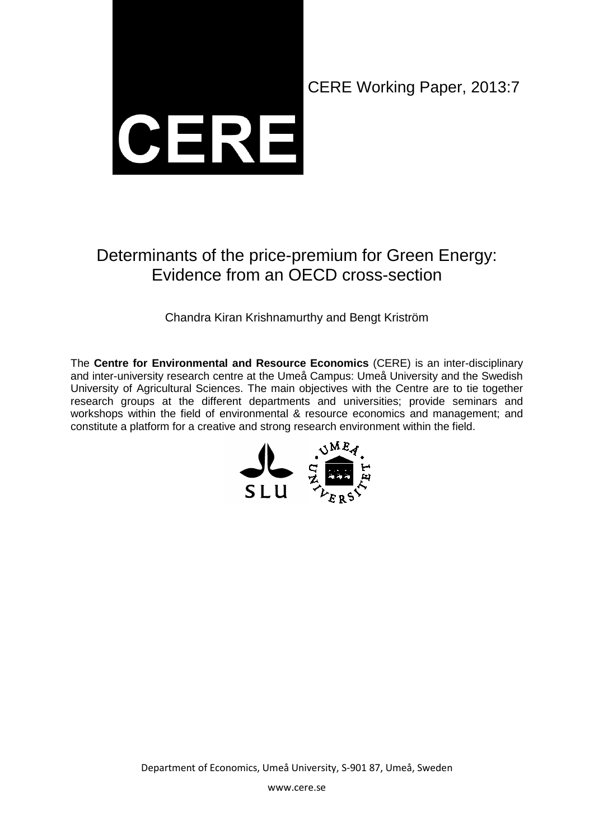

CERE Working Paper, 2013:7

## Determinants of the price-premium for Green Energy: Evidence from an OECD cross-section

Chandra Kiran Krishnamurthy and Bengt Kriström

The **Centre for Environmental and Resource Economics** (CERE) is an inter-disciplinary and inter-university research centre at the Umeå Campus: Umeå University and the Swedish University of Agricultural Sciences. The main objectives with the Centre are to tie together research groups at the different departments and universities; provide seminars and workshops within the field of environmental & resource economics and management; and constitute a platform for a creative and strong research environment within the field.



Department of Economics, Umeå University, S-901 87, Umeå, Sweden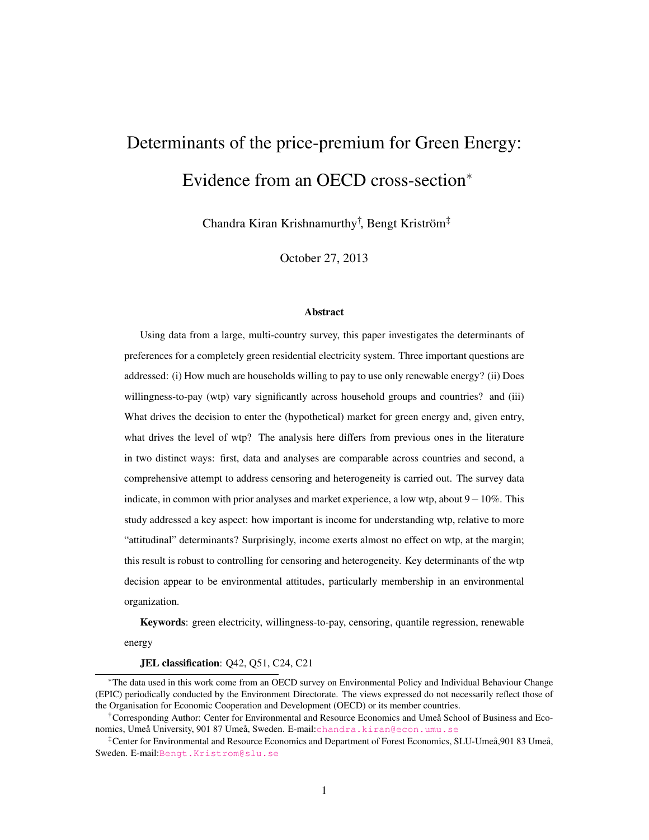# Determinants of the price-premium for Green Energy: Evidence from an OECD cross-section<sup>∗</sup>

Chandra Kiran Krishnamurthy† , Bengt Kriström‡

October 27, 2013

#### **Abstract**

Using data from a large, multi-country survey, this paper investigates the determinants of preferences for a completely green residential electricity system. Three important questions are addressed: (i) How much are households willing to pay to use only renewable energy? (ii) Does willingness-to-pay (wtp) vary significantly across household groups and countries? and (iii) What drives the decision to enter the (hypothetical) market for green energy and, given entry, what drives the level of wtp? The analysis here differs from previous ones in the literature in two distinct ways: first, data and analyses are comparable across countries and second, a comprehensive attempt to address censoring and heterogeneity is carried out. The survey data indicate, in common with prior analyses and market experience, a low wtp, about 9−10%. This study addressed a key aspect: how important is income for understanding wtp, relative to more "attitudinal" determinants? Surprisingly, income exerts almost no effect on wtp, at the margin; this result is robust to controlling for censoring and heterogeneity. Key determinants of the wtp decision appear to be environmental attitudes, particularly membership in an environmental organization.

Keywords: green electricity, willingness-to-pay, censoring, quantile regression, renewable

energy

#### JEL classification: Q42, Q51, C24, C21

<sup>∗</sup>The data used in this work come from an OECD survey on Environmental Policy and Individual Behaviour Change (EPIC) periodically conducted by the Environment Directorate. The views expressed do not necessarily reflect those of the Organisation for Economic Cooperation and Development (OECD) or its member countries.

<sup>†</sup>Corresponding Author: Center for Environmental and Resource Economics and Umeå School of Business and Economics, Umeå University, 901 87 Umeå, Sweden. E-mail:<chandra.kiran@econ.umu.se>

<sup>‡</sup>Center for Environmental and Resource Economics and Department of Forest Economics, SLU-Umeå,901 83 Umeå, Sweden. E-mail:<Bengt.Kristrom@slu.se>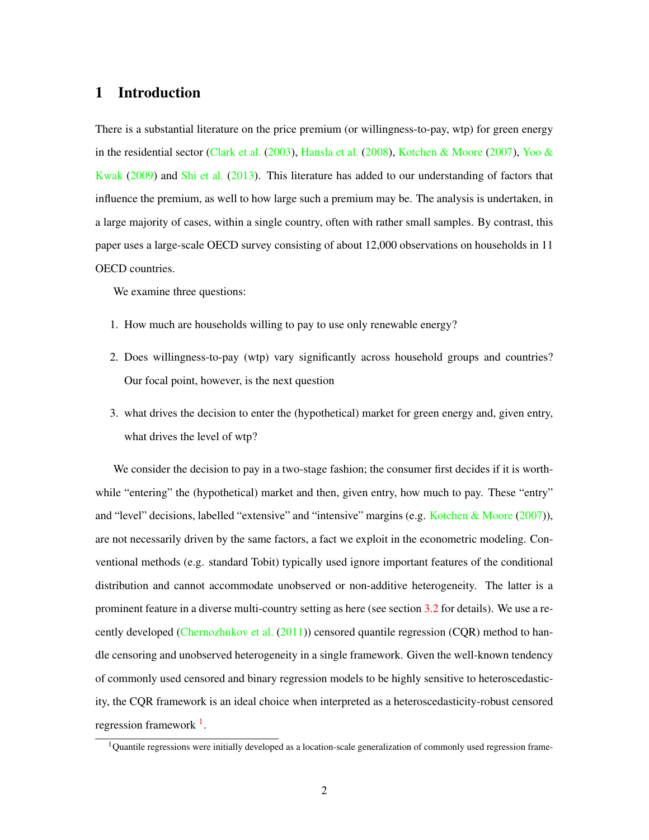### 1 Introduction

There is a substantial literature on the price premium (or willingness-to-pay, wtp) for green energy in the residential sector [\(Clark et al.](#page-27-0) [\(2003\)](#page-27-0), [Hansla et al.](#page-28-0) [\(2008\)](#page-28-0), [Kotchen & Moore](#page-28-1) [\(2007\)](#page-28-1), [Yoo &](#page-30-0) [Kwak](#page-30-0) [\(2009\)](#page-30-0) and [Shi et al.](#page-29-0) [\(2013\)](#page-29-0). This literature has added to our understanding of factors that influence the premium, as well to how large such a premium may be. The analysis is undertaken, in a large majority of cases, within a single country, often with rather small samples. By contrast, this paper uses a large-scale OECD survey consisting of about 12,000 observations on households in 11 OECD countries.

We examine three questions:

- 1. How much are households willing to pay to use only renewable energy?
- 2. Does willingness-to-pay (wtp) vary significantly across household groups and countries? Our focal point, however, is the next question
- 3. what drives the decision to enter the (hypothetical) market for green energy and, given entry, what drives the level of wtp?

We consider the decision to pay in a two-stage fashion; the consumer first decides if it is worthwhile "entering" the (hypothetical) market and then, given entry, how much to pay. These "entry" and "level" decisions, labelled "extensive" and "intensive" margins (e.g. [Kotchen & Moore](#page-28-1) [\(2007\)](#page-28-1)), are not necessarily driven by the same factors, a fact we exploit in the econometric modeling. Conventional methods (e.g. standard Tobit) typically used ignore important features of the conditional distribution and cannot accommodate unobserved or non-additive heterogeneity. The latter is a prominent feature in a diverse multi-country setting as here (see section [3.2](#page-7-0) for details). We use a re-cently developed [\(Chernozhukov et al.](#page-27-1)  $(2011)$ ) censored quantile regression (CQR) method to handle censoring and unobserved heterogeneity in a single framework. Given the well-known tendency of commonly used censored and binary regression models to be highly sensitive to heteroscedasticity, the CQR framework is an ideal choice when interpreted as a heteroscedasticity-robust censored regression framework<sup>[1](#page-2-0)</sup>.

<span id="page-2-0"></span> $1$ Quantile regressions were initially developed as a location-scale generalization of commonly used regression frame-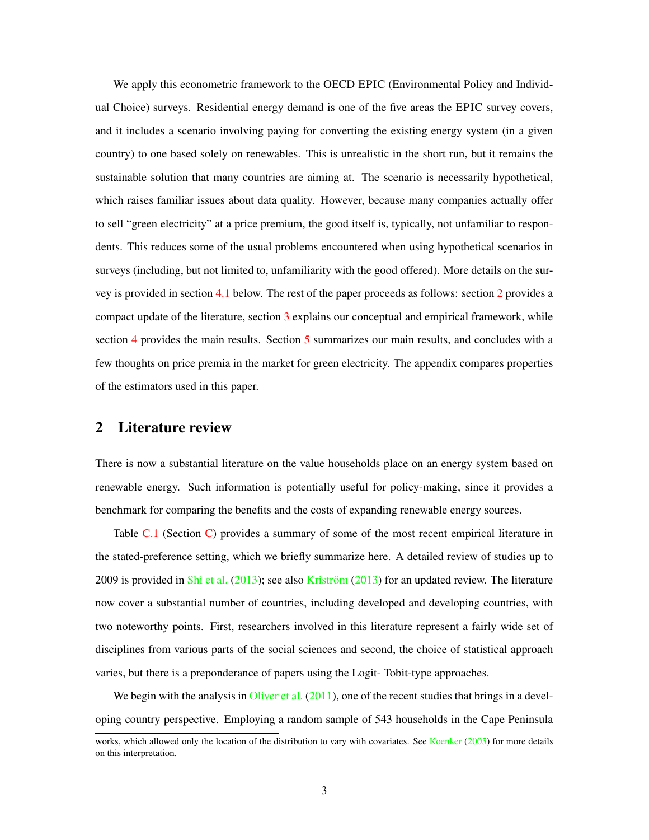We apply this econometric framework to the OECD EPIC (Environmental Policy and Individual Choice) surveys. Residential energy demand is one of the five areas the EPIC survey covers, and it includes a scenario involving paying for converting the existing energy system (in a given country) to one based solely on renewables. This is unrealistic in the short run, but it remains the sustainable solution that many countries are aiming at. The scenario is necessarily hypothetical, which raises familiar issues about data quality. However, because many companies actually offer to sell "green electricity" at a price premium, the good itself is, typically, not unfamiliar to respondents. This reduces some of the usual problems encountered when using hypothetical scenarios in surveys (including, but not limited to, unfamiliarity with the good offered). More details on the survey is provided in section [4.1](#page-11-0) below. The rest of the paper proceeds as follows: section [2](#page-3-0) provides a compact update of the literature, section [3](#page-6-0) explains our conceptual and empirical framework, while section [4](#page-11-1) provides the main results. Section [5](#page-23-0) summarizes our main results, and concludes with a few thoughts on price premia in the market for green electricity. The appendix compares properties of the estimators used in this paper.

### <span id="page-3-0"></span>2 Literature review

There is now a substantial literature on the value households place on an energy system based on renewable energy. Such information is potentially useful for policy-making, since it provides a benchmark for comparing the benefits and the costs of expanding renewable energy sources.

Table [C.1](#page-35-0) (Section [C\)](#page-34-0) provides a summary of some of the most recent empirical literature in the stated-preference setting, which we briefly summarize here. A detailed review of studies up to 2009 is provided in [Shi et al.](#page-29-0)  $(2013)$ ; see also [Kriström](#page-29-1)  $(2013)$  for an updated review. The literature now cover a substantial number of countries, including developed and developing countries, with two noteworthy points. First, researchers involved in this literature represent a fairly wide set of disciplines from various parts of the social sciences and second, the choice of statistical approach varies, but there is a preponderance of papers using the Logit- Tobit-type approaches.

We begin with the analysis in [Oliver et al.](#page-29-2)  $(2011)$ , one of the recent studies that brings in a developing country perspective. Employing a random sample of 543 households in the Cape Peninsula

works, which allowed only the location of the distribution to vary with covariates. See [Koenker](#page-28-2) [\(2005\)](#page-28-2) for more details on this interpretation.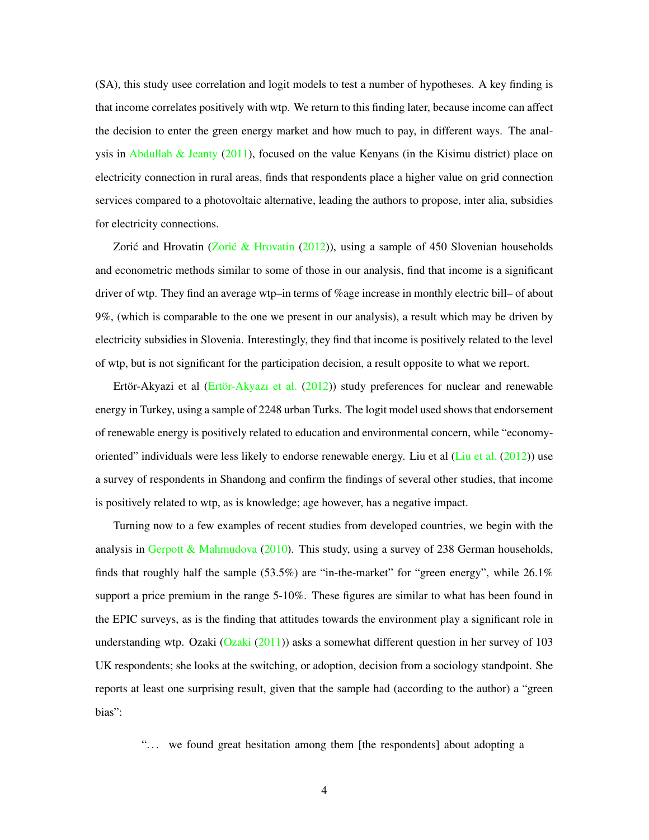(SA), this study usee correlation and logit models to test a number of hypotheses. A key finding is that income correlates positively with wtp. We return to this finding later, because income can affect the decision to enter the green energy market and how much to pay, in different ways. The anal-ysis in [Abdullah & Jeanty](#page-26-0) [\(2011\)](#page-26-0), focused on the value Kenyans (in the Kisimu district) place on electricity connection in rural areas, finds that respondents place a higher value on grid connection services compared to a photovoltaic alternative, leading the authors to propose, inter alia, subsidies for electricity connections.

Zorić and Hrovatin (Zorić & Hrovatin  $(2012)$ ), using a sample of 450 Slovenian households and econometric methods similar to some of those in our analysis, find that income is a significant driver of wtp. They find an average wtp–in terms of %age increase in monthly electric bill– of about 9%, (which is comparable to the one we present in our analysis), a result which may be driven by electricity subsidies in Slovenia. Interestingly, they find that income is positively related to the level of wtp, but is not significant for the participation decision, a result opposite to what we report.

Ertör-Akyazi et al [\(Ertör-Akyazı et al.](#page-27-2) [\(2012\)](#page-27-2)) study preferences for nuclear and renewable energy in Turkey, using a sample of 2248 urban Turks. The logit model used shows that endorsement of renewable energy is positively related to education and environmental concern, while "economyoriented" individuals were less likely to endorse renewable energy. Liu et al [\(Liu et al.](#page-29-3) [\(2012\)](#page-29-3)) use a survey of respondents in Shandong and confirm the findings of several other studies, that income is positively related to wtp, as is knowledge; age however, has a negative impact.

Turning now to a few examples of recent studies from developed countries, we begin with the analysis in [Gerpott & Mahmudova](#page-27-3)  $(2010)$ . This study, using a survey of 238 German households, finds that roughly half the sample  $(53.5\%)$  are "in-the-market" for "green energy", while  $26.1\%$ support a price premium in the range 5-10%. These figures are similar to what has been found in the EPIC surveys, as is the finding that attitudes towards the environment play a significant role in understanding wtp. Ozaki  $(Qzaki (2011))$  $(Qzaki (2011))$  $(Qzaki (2011))$  asks a somewhat different question in her survey of 103 UK respondents; she looks at the switching, or adoption, decision from a sociology standpoint. She reports at least one surprising result, given that the sample had (according to the author) a "green bias":

"... we found great hesitation among them [the respondents] about adopting a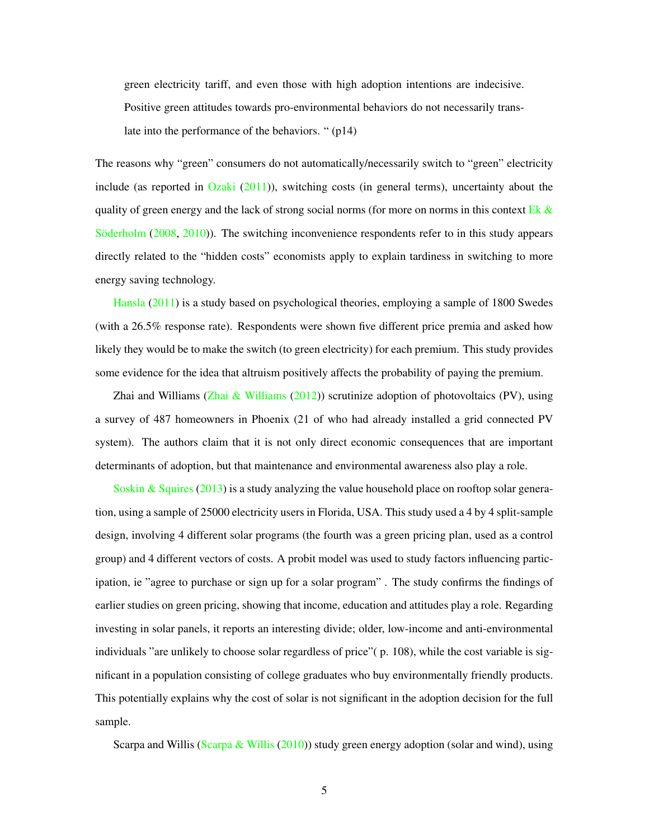green electricity tariff, and even those with high adoption intentions are indecisive. Positive green attitudes towards pro-environmental behaviors do not necessarily translate into the performance of the behaviors. " (p14)

The reasons why "green" consumers do not automatically/necessarily switch to "green" electricity include (as reported in  $Ozaki (2011)$  $Ozaki (2011)$  $Ozaki (2011)$ ), switching costs (in general terms), uncertainty about the quality of green energy and the lack of strong social norms (for more on norms in this context Ek  $\&$ [Söderholm](#page-27-4) [\(2008,](#page-27-4) [2010\)](#page-27-5)). The switching inconvenience respondents refer to in this study appears directly related to the "hidden costs" economists apply to explain tardiness in switching to more energy saving technology.

[Hansla](#page-28-3) [\(2011\)](#page-28-3) is a study based on psychological theories, employing a sample of 1800 Swedes (with a 26.5% response rate). Respondents were shown five different price premia and asked how likely they would be to make the switch (to green electricity) for each premium. This study provides some evidence for the idea that altruism positively affects the probability of paying the premium.

Zhai and Williams [\(Zhai & Williams](#page-30-2)  $(2012)$ ) scrutinize adoption of photovoltaics (PV), using a survey of 487 homeowners in Phoenix (21 of who had already installed a grid connected PV system). The authors claim that it is not only direct economic consequences that are important determinants of adoption, but that maintenance and environmental awareness also play a role.

[Soskin & Squires](#page-29-5)  $(2013)$  is a study analyzing the value household place on rooftop solar generation, using a sample of 25000 electricity users in Florida, USA. This study used a 4 by 4 split-sample design, involving 4 different solar programs (the fourth was a green pricing plan, used as a control group) and 4 different vectors of costs. A probit model was used to study factors influencing participation, ie "agree to purchase or sign up for a solar program" . The study confirms the findings of earlier studies on green pricing, showing that income, education and attitudes play a role. Regarding investing in solar panels, it reports an interesting divide; older, low-income and anti-environmental individuals "are unlikely to choose solar regardless of price"( p. 108), while the cost variable is significant in a population consisting of college graduates who buy environmentally friendly products. This potentially explains why the cost of solar is not significant in the adoption decision for the full sample.

Scarpa and Willis [\(Scarpa & Willis](#page-29-6) [\(2010\)](#page-29-6)) study green energy adoption (solar and wind), using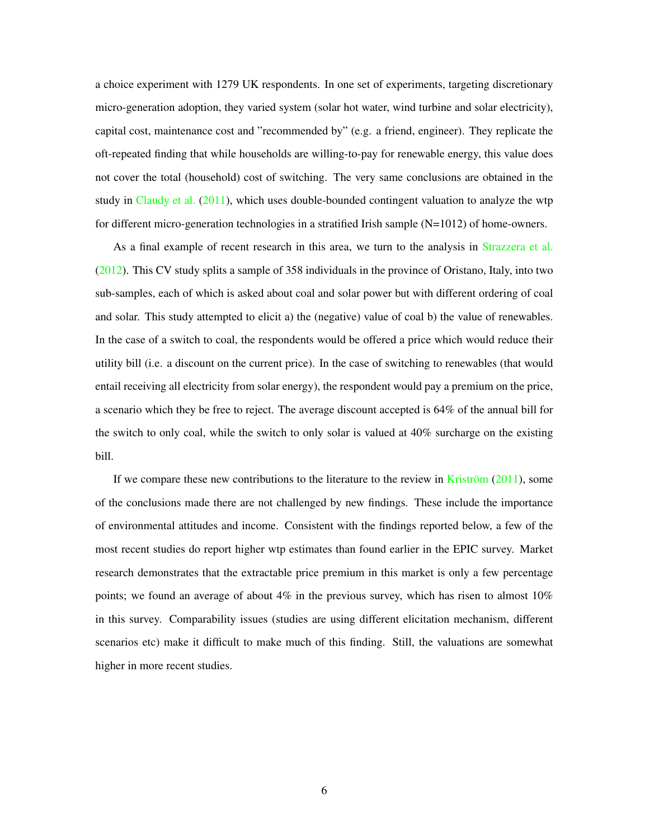a choice experiment with 1279 UK respondents. In one set of experiments, targeting discretionary micro-generation adoption, they varied system (solar hot water, wind turbine and solar electricity), capital cost, maintenance cost and "recommended by" (e.g. a friend, engineer). They replicate the oft-repeated finding that while households are willing-to-pay for renewable energy, this value does not cover the total (household) cost of switching. The very same conclusions are obtained in the study in [Claudy et al.](#page-27-6) [\(2011\)](#page-27-6), which uses double-bounded contingent valuation to analyze the wtp for different micro-generation technologies in a stratified Irish sample  $(N=1012)$  of home-owners.

As a final example of recent research in this area, we turn to the analysis in [Strazzera et al.](#page-29-7) [\(2012\)](#page-29-7). This CV study splits a sample of 358 individuals in the province of Oristano, Italy, into two sub-samples, each of which is asked about coal and solar power but with different ordering of coal and solar. This study attempted to elicit a) the (negative) value of coal b) the value of renewables. In the case of a switch to coal, the respondents would be offered a price which would reduce their utility bill (i.e. a discount on the current price). In the case of switching to renewables (that would entail receiving all electricity from solar energy), the respondent would pay a premium on the price, a scenario which they be free to reject. The average discount accepted is 64% of the annual bill for the switch to only coal, while the switch to only solar is valued at 40% surcharge on the existing bill.

<span id="page-6-0"></span>If we compare these new contributions to the literature to the review in [Kriström](#page-29-8) [\(2011\)](#page-29-8), some of the conclusions made there are not challenged by new findings. These include the importance of environmental attitudes and income. Consistent with the findings reported below, a few of the most recent studies do report higher wtp estimates than found earlier in the EPIC survey. Market research demonstrates that the extractable price premium in this market is only a few percentage points; we found an average of about  $4\%$  in the previous survey, which has risen to almost  $10\%$ in this survey. Comparability issues (studies are using different elicitation mechanism, different scenarios etc) make it difficult to make much of this finding. Still, the valuations are somewhat higher in more recent studies.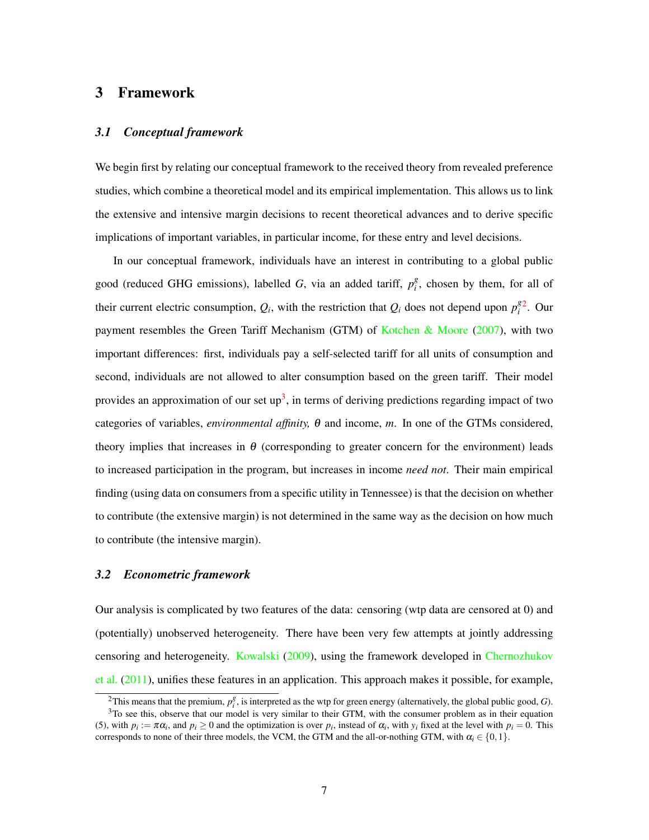#### 3 Framework

#### *3.1 Conceptual framework*

We begin first by relating our conceptual framework to the received theory from revealed preference studies, which combine a theoretical model and its empirical implementation. This allows us to link the extensive and intensive margin decisions to recent theoretical advances and to derive specific implications of important variables, in particular income, for these entry and level decisions.

In our conceptual framework, individuals have an interest in contributing to a global public good (reduced GHG emissions), labelled *G*, via an added tariff,  $p_i^g$  $i<sup>g</sup>$ , chosen by them, for all of their current electric consumption,  $Q_i$ , with the restriction that  $Q_i$  does not depend upon  $p_i^g$  $i$ <sup>8[2](#page-7-1)</sup>. Our payment resembles the Green Tariff Mechanism (GTM) of [Kotchen & Moore](#page-28-1) [\(2007\)](#page-28-1), with two important differences: first, individuals pay a self-selected tariff for all units of consumption and second, individuals are not allowed to alter consumption based on the green tariff. Their model provides an approximation of our set up<sup>[3](#page-7-2)</sup>, in terms of deriving predictions regarding impact of two categories of variables, *environmental affinity,* θ and income, *m*. In one of the GTMs considered, theory implies that increases in  $\theta$  (corresponding to greater concern for the environment) leads to increased participation in the program, but increases in income *need not*. Their main empirical finding (using data on consumers from a specific utility in Tennessee) is that the decision on whether to contribute (the extensive margin) is not determined in the same way as the decision on how much to contribute (the intensive margin).

#### <span id="page-7-0"></span>*3.2 Econometric framework*

Our analysis is complicated by two features of the data: censoring (wtp data are censored at 0) and (potentially) unobserved heterogeneity. There have been very few attempts at jointly addressing censoring and heterogeneity. [Kowalski](#page-28-4) [\(2009\)](#page-28-4), using the framework developed in [Chernozhukov](#page-27-1) [et al.](#page-27-1) [\(2011\)](#page-27-1), unifies these features in an application. This approach makes it possible, for example,

<span id="page-7-2"></span><span id="page-7-1"></span><sup>&</sup>lt;sup>2</sup>This means that the premium,  $p_i^g$ , is interpreted as the wtp for green energy (alternatively, the global public good, *G*).  $3$ To see this, observe that our model is very similar to their GTM, with the consumer problem as in their equation

<sup>(5),</sup> with  $p_i := \pi \alpha_i$ , and  $p_i \ge 0$  and the optimization is over  $p_i$ , instead of  $\alpha_i$ , with  $y_i$  fixed at the level with  $p_i = 0$ . This corresponds to none of their three models, the VCM, the GTM and the all-or-nothing GTM, with  $\alpha_i \in \{0,1\}$ .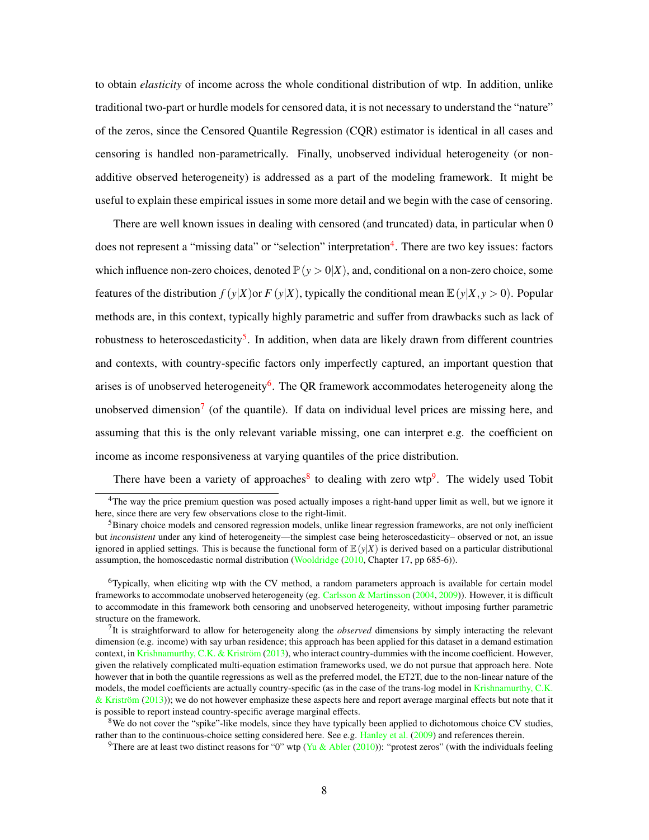to obtain *elasticity* of income across the whole conditional distribution of wtp. In addition, unlike traditional two-part or hurdle models for censored data, it is not necessary to understand the "nature" of the zeros, since the Censored Quantile Regression (CQR) estimator is identical in all cases and censoring is handled non-parametrically. Finally, unobserved individual heterogeneity (or nonadditive observed heterogeneity) is addressed as a part of the modeling framework. It might be useful to explain these empirical issues in some more detail and we begin with the case of censoring.

There are well known issues in dealing with censored (and truncated) data, in particular when 0 does not represent a "missing data" or "selection" interpretation<sup>[4](#page-8-0)</sup>. There are two key issues: factors which influence non-zero choices, denoted  $\mathbb{P}(y > 0|X)$ , and, conditional on a non-zero choice, some features of the distribution  $f(y|X)$  or  $F(y|X)$ , typically the conditional mean  $\mathbb{E}(y|X, y > 0)$ . Popular methods are, in this context, typically highly parametric and suffer from drawbacks such as lack of robustness to heteroscedasticity<sup>[5](#page-8-1)</sup>. In addition, when data are likely drawn from different countries and contexts, with country-specific factors only imperfectly captured, an important question that arises is of unobserved heterogeneity<sup>[6](#page-8-2)</sup>. The QR framework accommodates heterogeneity along the unobserved dimension<sup>[7](#page-8-3)</sup> (of the quantile). If data on individual level prices are missing here, and assuming that this is the only relevant variable missing, one can interpret e.g. the coefficient on income as income responsiveness at varying quantiles of the price distribution.

There have been a variety of approaches<sup>[8](#page-8-4)</sup> to dealing with zero wtp<sup>[9](#page-8-5)</sup>. The widely used Tobit

<span id="page-8-0"></span><sup>&</sup>lt;sup>4</sup>The way the price premium question was posed actually imposes a right-hand upper limit as well, but we ignore it here, since there are very few observations close to the right-limit.

<span id="page-8-1"></span><sup>&</sup>lt;sup>5</sup>Binary choice models and censored regression models, unlike linear regression frameworks, are not only inefficient but *inconsistent* under any kind of heterogeneity—the simplest case being heteroscedasticity– observed or not, an issue ignored in applied settings. This is because the functional form of  $\mathbb{E}(y|X)$  is derived based on a particular distributional assumption, the homoscedastic normal distribution [\(Wooldridge](#page-30-3) [\(2010,](#page-30-3) Chapter 17, pp 685-6)).

<span id="page-8-2"></span><sup>6</sup>Typically, when eliciting wtp with the CV method, a random parameters approach is available for certain model frameworks to accommodate unobserved heterogeneity (eg. [Carlsson & Martinsson](#page-26-1) [\(2004,](#page-26-1) [2009\)](#page-26-2)). However, it is difficult to accommodate in this framework both censoring and unobserved heterogeneity, without imposing further parametric structure on the framework.

<span id="page-8-3"></span><sup>7</sup> It is straightforward to allow for heterogeneity along the *observed* dimensions by simply interacting the relevant dimension (e.g. income) with say urban residence; this approach has been applied for this dataset in a demand estimation context, in [Krishnamurthy, C.K. & Kriström](#page-29-9) [\(2013\)](#page-29-9), who interact country-dummies with the income coefficient. However, given the relatively complicated multi-equation estimation frameworks used, we do not pursue that approach here. Note however that in both the quantile regressions as well as the preferred model, the ET2T, due to the non-linear nature of the models, the model coefficients are actually country-specific (as in the case of the trans-log model in [Krishnamurthy, C.K.](#page-29-9) [& Kriström](#page-29-9) [\(2013\)](#page-29-9)); we do not however emphasize these aspects here and report average marginal effects but note that it is possible to report instead country-specific average marginal effects.

<span id="page-8-4"></span><sup>&</sup>lt;sup>8</sup>We do not cover the "spike"-like models, since they have typically been applied to dichotomous choice CV studies, rather than to the continuous-choice setting considered here. See e.g. [Hanley et al.](#page-28-5) [\(2009\)](#page-28-5) and references therein.

<span id="page-8-5"></span><sup>&</sup>lt;sup>9</sup>There are at least two distinct reasons for "0" wtp [\(Yu & Abler](#page-30-4) [\(2010\)](#page-30-4)): "protest zeros" (with the individuals feeling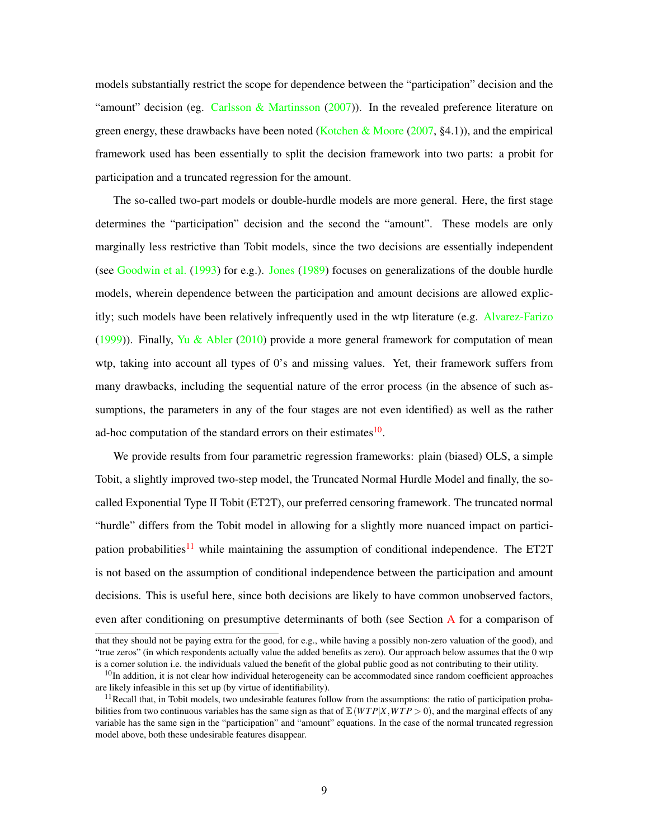models substantially restrict the scope for dependence between the "participation" decision and the "amount" decision (eg. Carlsson  $\&$  Martinsson [\(2007\)](#page-26-3)). In the revealed preference literature on green energy, these drawbacks have been noted [\(Kotchen & Moore](#page-28-1) [\(2007,](#page-28-1) §4.1)), and the empirical framework used has been essentially to split the decision framework into two parts: a probit for participation and a truncated regression for the amount.

The so-called two-part models or double-hurdle models are more general. Here, the first stage determines the "participation" decision and the second the "amount". These models are only marginally less restrictive than Tobit models, since the two decisions are essentially independent (see [Goodwin et al.](#page-27-7) [\(1993\)](#page-27-7) for e.g.). [Jones](#page-28-6) [\(1989\)](#page-28-6) focuses on generalizations of the double hurdle models, wherein dependence between the participation and amount decisions are allowed explicitly; such models have been relatively infrequently used in the wtp literature (e.g. [Alvarez-Farizo](#page-26-4) [\(1999\)](#page-26-4)). Finally, [Yu & Abler](#page-30-4) [\(2010\)](#page-30-4) provide a more general framework for computation of mean wtp, taking into account all types of 0's and missing values. Yet, their framework suffers from many drawbacks, including the sequential nature of the error process (in the absence of such assumptions, the parameters in any of the four stages are not even identified) as well as the rather ad-hoc computation of the standard errors on their estimates<sup>[10](#page-9-0)</sup>.

We provide results from four parametric regression frameworks: plain (biased) OLS, a simple Tobit, a slightly improved two-step model, the Truncated Normal Hurdle Model and finally, the socalled Exponential Type II Tobit (ET2T), our preferred censoring framework. The truncated normal "hurdle" differs from the Tobit model in allowing for a slightly more nuanced impact on partici-pation probabilities<sup>[11](#page-9-1)</sup> while maintaining the assumption of conditional independence. The ET2T is not based on the assumption of conditional independence between the participation and amount decisions. This is useful here, since both decisions are likely to have common unobserved factors, even after conditioning on presumptive determinants of both (see Section [A](#page-31-0) for a comparison of

that they should not be paying extra for the good, for e.g., while having a possibly non-zero valuation of the good), and "true zeros" (in which respondents actually value the added benefits as zero). Our approach below assumes that the 0 wtp is a corner solution i.e. the individuals valued the benefit of the global public good as not contributing to their utility.

<span id="page-9-0"></span> $10$ In addition, it is not clear how individual heterogeneity can be accommodated since random coefficient approaches are likely infeasible in this set up (by virtue of identifiability).

<span id="page-9-1"></span> $11$ Recall that, in Tobit models, two undesirable features follow from the assumptions: the ratio of participation probabilities from two continuous variables has the same sign as that of  $\mathbb{E}(WTP|X, WTP > 0)$ , and the marginal effects of any variable has the same sign in the "participation" and "amount" equations. In the case of the normal truncated regression model above, both these undesirable features disappear.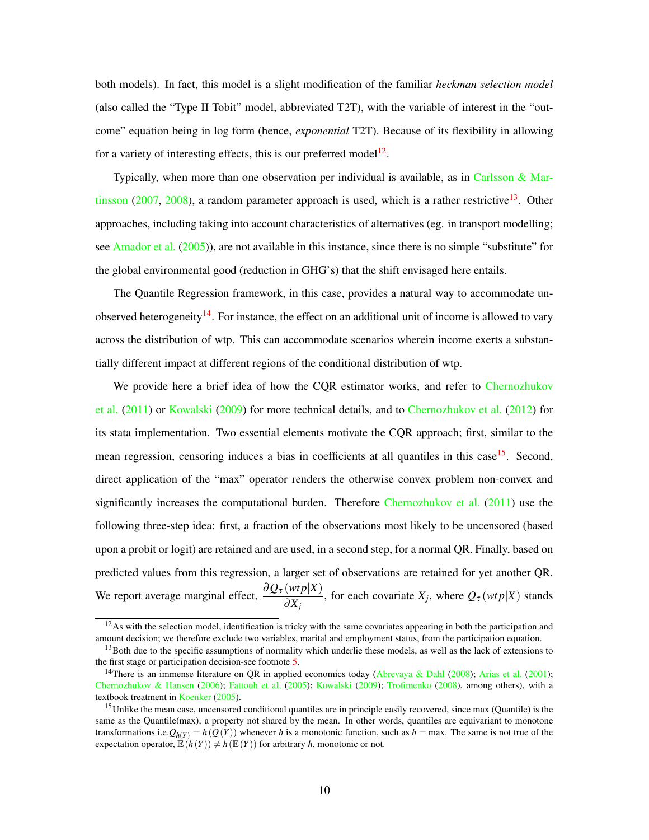both models). In fact, this model is a slight modification of the familiar *heckman selection model* (also called the "Type II Tobit" model, abbreviated T2T), with the variable of interest in the "outcome" equation being in log form (hence, *exponential* T2T). Because of its flexibility in allowing for a variety of interesting effects, this is our preferred model<sup>[12](#page-10-0)</sup>.

Typically, when more than one observation per individual is available, as in Carlsson  $\&$  Mar[tinsson](#page-26-3) [\(2007,](#page-26-3) [2008\)](#page-26-5), a random parameter approach is used, which is a rather restrictive<sup>[13](#page-10-1)</sup>. Other approaches, including taking into account characteristics of alternatives (eg. in transport modelling; see [Amador et al.](#page-26-6) [\(2005\)](#page-26-6)), are not available in this instance, since there is no simple "substitute" for the global environmental good (reduction in GHG's) that the shift envisaged here entails.

The Quantile Regression framework, in this case, provides a natural way to accommodate un-observed heterogeneity<sup>[14](#page-10-2)</sup>. For instance, the effect on an additional unit of income is allowed to vary across the distribution of wtp. This can accommodate scenarios wherein income exerts a substantially different impact at different regions of the conditional distribution of wtp.

We provide here a brief idea of how the CQR estimator works, and refer to [Chernozhukov](#page-27-1) [et al.](#page-27-1) [\(2011\)](#page-27-1) or [Kowalski](#page-28-4) [\(2009\)](#page-28-4) for more technical details, and to [Chernozhukov et al.](#page-27-8) [\(2012\)](#page-27-8) for its stata implementation. Two essential elements motivate the CQR approach; first, similar to the mean regression, censoring induces a bias in coefficients at all quantiles in this case<sup>[15](#page-10-3)</sup>. Second, direct application of the "max" operator renders the otherwise convex problem non-convex and significantly increases the computational burden. Therefore [Chernozhukov et al.](#page-27-1)  $(2011)$  use the following three-step idea: first, a fraction of the observations most likely to be uncensored (based upon a probit or logit) are retained and are used, in a second step, for a normal QR. Finally, based on predicted values from this regression, a larger set of observations are retained for yet another QR. We report average marginal effect,  $\frac{\partial Q_{\tau}(wtp|X)}{\partial Y}$  $\frac{\partial (m \cdot p \mid \Lambda)}{\partial X_j}$ , for each covariate *X<sub>j</sub>*, where  $Q_{\tau}$  (*wtp*|*X*) stands

<span id="page-10-0"></span> $12$ As with the selection model, identification is tricky with the same covariates appearing in both the participation and amount decision; we therefore exclude two variables, marital and employment status, from the participation equation.

<span id="page-10-1"></span> $13$ Both due to the specific assumptions of normality which underlie these models, as well as the lack of extensions to the first stage or participation decision-see footnote [5.](#page-8-1)

<span id="page-10-2"></span><sup>&</sup>lt;sup>14</sup>There is an immense literature on OR in applied economics today [\(Abrevaya & Dahl](#page-26-7) [\(2008\)](#page-26-7); [Arias et al.](#page-26-8) [\(2001\)](#page-26-8); [Chernozhukov & Hansen](#page-27-9) [\(2006\)](#page-27-9); [Fattouh et al.](#page-27-10) [\(2005\)](#page-27-10); [Kowalski](#page-28-4) [\(2009\)](#page-28-4); [Trofimenko](#page-30-5) [\(2008\)](#page-30-5), among others), with a textbook treatment in [Koenker](#page-28-2) [\(2005\)](#page-28-2).

<span id="page-10-3"></span><sup>&</sup>lt;sup>15</sup>Unlike the mean case, uncensored conditional quantiles are in principle easily recovered, since max (Quantile) is the same as the Quantile(max), a property not shared by the mean. In other words, quantiles are equivariant to monotone transformations i.e. $Q_{h(Y)} = h(Q(Y))$  whenever *h* is a monotonic function, such as  $h = \max$ . The same is not true of the expectation operator,  $\mathbb{E}(h(Y)) \neq h(\mathbb{E}(Y))$  for arbitrary *h*, monotonic or not.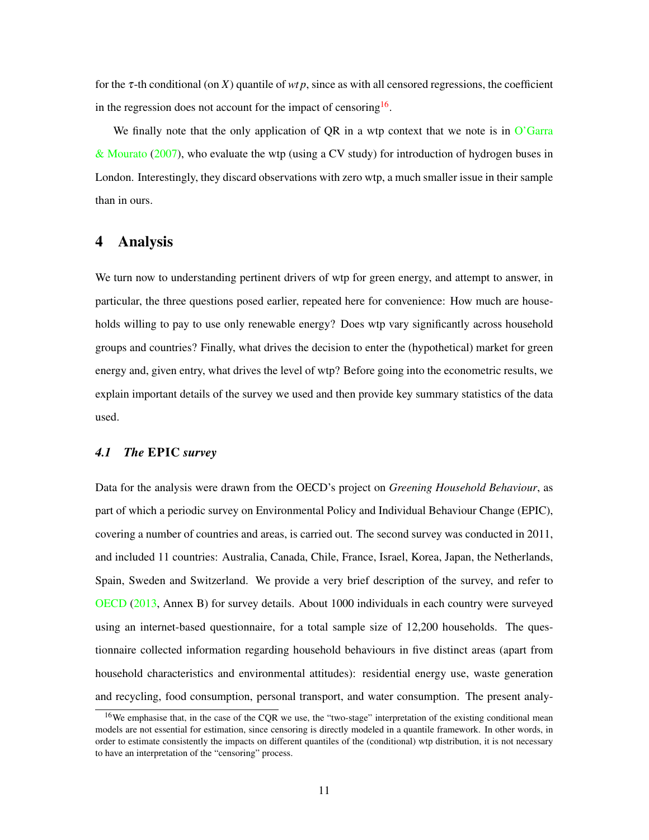for the τ-th conditional (on *X*) quantile of *wt p*, since as with all censored regressions, the coefficient in the regression does not account for the impact of censoring  $16$ .

We finally note that the only application of QR in a wtp context that we note is in [O'Garra](#page-29-10) [& Mourato](#page-29-10) [\(2007\)](#page-29-10), who evaluate the wtp (using a CV study) for introduction of hydrogen buses in London. Interestingly, they discard observations with zero wtp, a much smaller issue in their sample than in ours.

### <span id="page-11-1"></span>4 Analysis

We turn now to understanding pertinent drivers of wtp for green energy, and attempt to answer, in particular, the three questions posed earlier, repeated here for convenience: How much are households willing to pay to use only renewable energy? Does wtp vary significantly across household groups and countries? Finally, what drives the decision to enter the (hypothetical) market for green energy and, given entry, what drives the level of wtp? Before going into the econometric results, we explain important details of the survey we used and then provide key summary statistics of the data used.

#### <span id="page-11-0"></span>*4.1 The* EPIC *survey*

Data for the analysis were drawn from the OECD's project on *Greening Household Behaviour*, as part of which a periodic survey on Environmental Policy and Individual Behaviour Change (EPIC), covering a number of countries and areas, is carried out. The second survey was conducted in 2011, and included 11 countries: Australia, Canada, Chile, France, Israel, Korea, Japan, the Netherlands, Spain, Sweden and Switzerland. We provide a very brief description of the survey, and refer to [OECD](#page-29-11) [\(2013,](#page-29-11) Annex B) for survey details. About 1000 individuals in each country were surveyed using an internet-based questionnaire, for a total sample size of 12,200 households. The questionnaire collected information regarding household behaviours in five distinct areas (apart from household characteristics and environmental attitudes): residential energy use, waste generation and recycling, food consumption, personal transport, and water consumption. The present analy-

<span id="page-11-2"></span><sup>&</sup>lt;sup>16</sup>We emphasise that, in the case of the CQR we use, the "two-stage" interpretation of the existing conditional mean models are not essential for estimation, since censoring is directly modeled in a quantile framework. In other words, in order to estimate consistently the impacts on different quantiles of the (conditional) wtp distribution, it is not necessary to have an interpretation of the "censoring" process.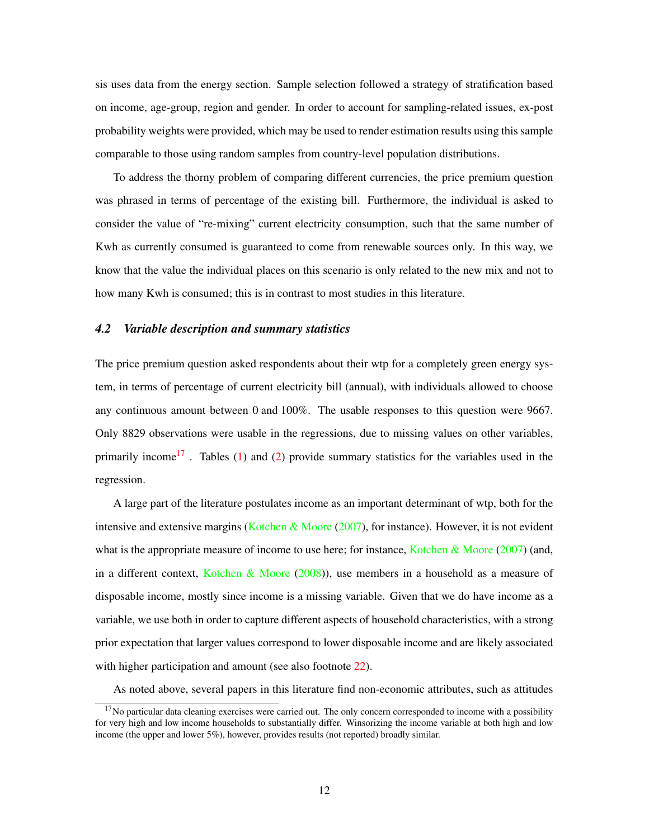sis uses data from the energy section. Sample selection followed a strategy of stratification based on income, age-group, region and gender. In order to account for sampling-related issues, ex-post probability weights were provided, which may be used to render estimation results using this sample comparable to those using random samples from country-level population distributions.

To address the thorny problem of comparing different currencies, the price premium question was phrased in terms of percentage of the existing bill. Furthermore, the individual is asked to consider the value of "re-mixing" current electricity consumption, such that the same number of Kwh as currently consumed is guaranteed to come from renewable sources only. In this way, we know that the value the individual places on this scenario is only related to the new mix and not to how many Kwh is consumed; this is in contrast to most studies in this literature.

#### *4.2 Variable description and summary statistics*

The price premium question asked respondents about their wtp for a completely green energy system, in terms of percentage of current electricity bill (annual), with individuals allowed to choose any continuous amount between 0 and 100%. The usable responses to this question were 9667. Only 8829 observations were usable in the regressions, due to missing values on other variables, primarily income<sup>[17](#page-12-0)</sup>. Tables [\(1\)](#page-14-0) and [\(2\)](#page-13-0) provide summary statistics for the variables used in the regression.

A large part of the literature postulates income as an important determinant of wtp, both for the intensive and extensive margins [\(Kotchen & Moore](#page-28-1)  $(2007)$ , for instance). However, it is not evident what is the appropriate measure of income to use here; for instance, [Kotchen & Moore](#page-28-1) [\(2007\)](#page-28-1) (and, in a different context, [Kotchen & Moore](#page-28-7) [\(2008\)](#page-28-7)), use members in a household as a measure of disposable income, mostly since income is a missing variable. Given that we do have income as a variable, we use both in order to capture different aspects of household characteristics, with a strong prior expectation that larger values correspond to lower disposable income and are likely associated with higher participation and amount (see also footnote [22\)](#page-16-0).

As noted above, several papers in this literature find non-economic attributes, such as attitudes

<span id="page-12-0"></span> $17$ No particular data cleaning exercises were carried out. The only concern corresponded to income with a possibility for very high and low income households to substantially differ. Winsorizing the income variable at both high and low income (the upper and lower 5%), however, provides results (not reported) broadly similar.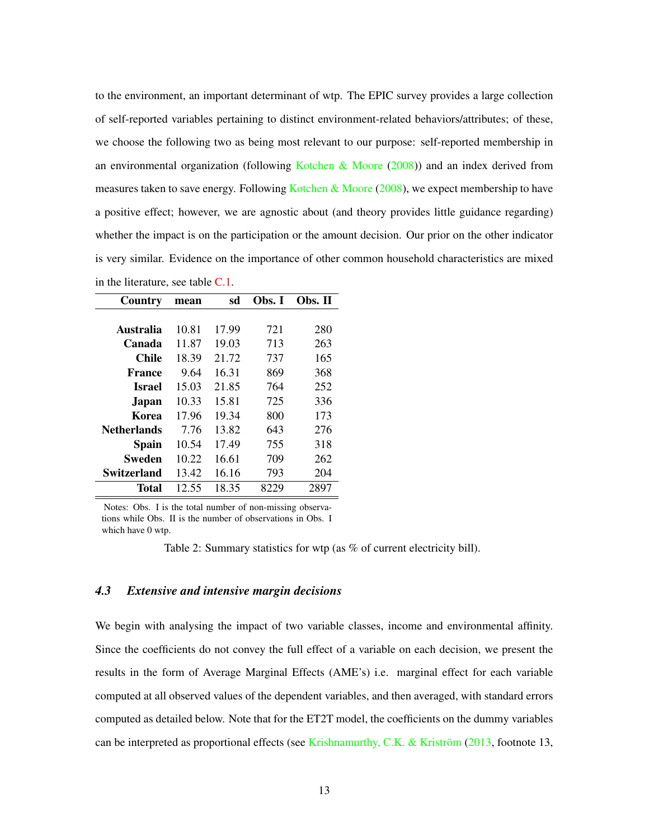to the environment, an important determinant of wtp. The EPIC survey provides a large collection of self-reported variables pertaining to distinct environment-related behaviors/attributes; of these, we choose the following two as being most relevant to our purpose: self-reported membership in an environmental organization (following [Kotchen & Moore](#page-28-7)  $(2008)$ ) and an index derived from measures taken to save energy. Following [Kotchen & Moore](#page-28-7)  $(2008)$ , we expect membership to have a positive effect; however, we are agnostic about (and theory provides little guidance regarding) whether the impact is on the participation or the amount decision. Our prior on the other indicator is very similar. Evidence on the importance of other common household characteristics are mixed in the literature, see table [C.1.](#page-35-0)

<span id="page-13-0"></span>

| Country            | mean  | sd    | Obs. I | Obs. II |
|--------------------|-------|-------|--------|---------|
|                    |       |       |        |         |
| Australia          | 10.81 | 17.99 | 721    | 280     |
| Canada             | 11.87 | 19.03 | 713    | 263     |
| <b>Chile</b>       | 18.39 | 21.72 | 737    | 165     |
| France             | 9.64  | 16.31 | 869    | 368     |
| Israel             | 15.03 | 21.85 | 764    | 252     |
| Japan              | 10.33 | 15.81 | 725    | 336     |
| Korea              | 17.96 | 19.34 | 800    | 173     |
| <b>Netherlands</b> | 7.76  | 13.82 | 643    | 276     |
| Spain              | 10.54 | 17.49 | 755    | 318     |
| Sweden             | 10.22 | 16.61 | 709    | 262     |
| Switzerland        | 13.42 | 16.16 | 793    | 204     |
| Total              | 12.55 | 18.35 | 8229   | 2897    |

Notes: Obs. I is the total number of non-missing observations while Obs. II is the number of observations in Obs. I which have 0 wtp.

Table 2: Summary statistics for wtp (as % of current electricity bill).

#### *4.3 Extensive and intensive margin decisions*

We begin with analysing the impact of two variable classes, income and environmental affinity. Since the coefficients do not convey the full effect of a variable on each decision, we present the results in the form of Average Marginal Effects (AME's) i.e. marginal effect for each variable computed at all observed values of the dependent variables, and then averaged, with standard errors computed as detailed below. Note that for the ET2T model, the coefficients on the dummy variables can be interpreted as proportional effects (see [Krishnamurthy, C.K. & Kriström](#page-29-9) [\(2013,](#page-29-9) footnote 13,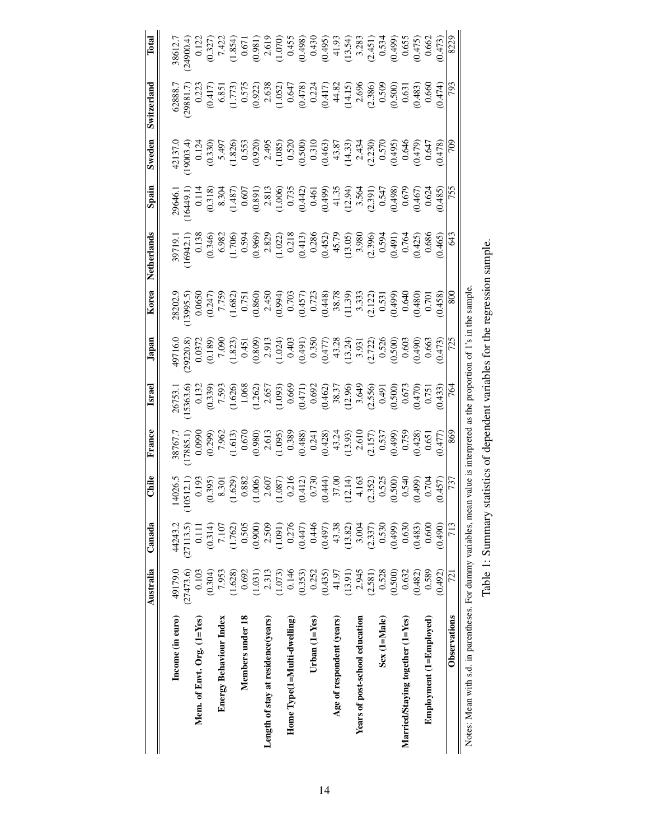<span id="page-14-0"></span>

|                                                                 | Australia | Canada    | Chile                                                                                                                                                                                                                                                                                      | France                                                                                                                                                                                                                                                                                                                                                                                     | <b>Israel</b>                                                                                                                                                                                                                                                    | Japan                                                                                                                                                                                                                                                                                                                                                                  | Korea                                                                                                                                                                                                                                                                                             | Netherlands                                                                                                                                                                                                                                                                                    | Spain                                                                                                                                                                                                                                 | Sweden | Switzerland                                                                                                                                                                                                                                                           | Total                                                                                                                                                                                                                                                             |
|-----------------------------------------------------------------|-----------|-----------|--------------------------------------------------------------------------------------------------------------------------------------------------------------------------------------------------------------------------------------------------------------------------------------------|--------------------------------------------------------------------------------------------------------------------------------------------------------------------------------------------------------------------------------------------------------------------------------------------------------------------------------------------------------------------------------------------|------------------------------------------------------------------------------------------------------------------------------------------------------------------------------------------------------------------------------------------------------------------|------------------------------------------------------------------------------------------------------------------------------------------------------------------------------------------------------------------------------------------------------------------------------------------------------------------------------------------------------------------------|---------------------------------------------------------------------------------------------------------------------------------------------------------------------------------------------------------------------------------------------------------------------------------------------------|------------------------------------------------------------------------------------------------------------------------------------------------------------------------------------------------------------------------------------------------------------------------------------------------|---------------------------------------------------------------------------------------------------------------------------------------------------------------------------------------------------------------------------------------|--------|-----------------------------------------------------------------------------------------------------------------------------------------------------------------------------------------------------------------------------------------------------------------------|-------------------------------------------------------------------------------------------------------------------------------------------------------------------------------------------------------------------------------------------------------------------|
|                                                                 |           |           |                                                                                                                                                                                                                                                                                            |                                                                                                                                                                                                                                                                                                                                                                                            |                                                                                                                                                                                                                                                                  |                                                                                                                                                                                                                                                                                                                                                                        |                                                                                                                                                                                                                                                                                                   |                                                                                                                                                                                                                                                                                                |                                                                                                                                                                                                                                       |        |                                                                                                                                                                                                                                                                       |                                                                                                                                                                                                                                                                   |
| Income (in euro)                                                | 49179.0   | 44243.2   |                                                                                                                                                                                                                                                                                            |                                                                                                                                                                                                                                                                                                                                                                                            |                                                                                                                                                                                                                                                                  |                                                                                                                                                                                                                                                                                                                                                                        |                                                                                                                                                                                                                                                                                                   |                                                                                                                                                                                                                                                                                                |                                                                                                                                                                                                                                       |        |                                                                                                                                                                                                                                                                       |                                                                                                                                                                                                                                                                   |
|                                                                 | (27473.6) | (27113.5) |                                                                                                                                                                                                                                                                                            |                                                                                                                                                                                                                                                                                                                                                                                            |                                                                                                                                                                                                                                                                  |                                                                                                                                                                                                                                                                                                                                                                        |                                                                                                                                                                                                                                                                                                   |                                                                                                                                                                                                                                                                                                |                                                                                                                                                                                                                                       |        |                                                                                                                                                                                                                                                                       |                                                                                                                                                                                                                                                                   |
| Mem. of Envt. $Org. (1=Yes)$                                    | 0.103     | 0.111     |                                                                                                                                                                                                                                                                                            |                                                                                                                                                                                                                                                                                                                                                                                            |                                                                                                                                                                                                                                                                  |                                                                                                                                                                                                                                                                                                                                                                        |                                                                                                                                                                                                                                                                                                   |                                                                                                                                                                                                                                                                                                |                                                                                                                                                                                                                                       |        |                                                                                                                                                                                                                                                                       |                                                                                                                                                                                                                                                                   |
|                                                                 | (0.304)   | (0.314)   |                                                                                                                                                                                                                                                                                            |                                                                                                                                                                                                                                                                                                                                                                                            |                                                                                                                                                                                                                                                                  |                                                                                                                                                                                                                                                                                                                                                                        |                                                                                                                                                                                                                                                                                                   |                                                                                                                                                                                                                                                                                                |                                                                                                                                                                                                                                       |        |                                                                                                                                                                                                                                                                       |                                                                                                                                                                                                                                                                   |
| <b>Energy Behaviour Index</b>                                   | 7.953     | 7.107     |                                                                                                                                                                                                                                                                                            |                                                                                                                                                                                                                                                                                                                                                                                            |                                                                                                                                                                                                                                                                  |                                                                                                                                                                                                                                                                                                                                                                        |                                                                                                                                                                                                                                                                                                   |                                                                                                                                                                                                                                                                                                |                                                                                                                                                                                                                                       |        |                                                                                                                                                                                                                                                                       |                                                                                                                                                                                                                                                                   |
|                                                                 | (1.628)   | (1.762)   |                                                                                                                                                                                                                                                                                            |                                                                                                                                                                                                                                                                                                                                                                                            |                                                                                                                                                                                                                                                                  |                                                                                                                                                                                                                                                                                                                                                                        |                                                                                                                                                                                                                                                                                                   |                                                                                                                                                                                                                                                                                                |                                                                                                                                                                                                                                       |        |                                                                                                                                                                                                                                                                       |                                                                                                                                                                                                                                                                   |
| Members under 18                                                | 0.692     | 0.505     |                                                                                                                                                                                                                                                                                            |                                                                                                                                                                                                                                                                                                                                                                                            |                                                                                                                                                                                                                                                                  |                                                                                                                                                                                                                                                                                                                                                                        |                                                                                                                                                                                                                                                                                                   |                                                                                                                                                                                                                                                                                                |                                                                                                                                                                                                                                       |        |                                                                                                                                                                                                                                                                       |                                                                                                                                                                                                                                                                   |
|                                                                 | (1.031)   | (0.900)   |                                                                                                                                                                                                                                                                                            |                                                                                                                                                                                                                                                                                                                                                                                            |                                                                                                                                                                                                                                                                  |                                                                                                                                                                                                                                                                                                                                                                        |                                                                                                                                                                                                                                                                                                   |                                                                                                                                                                                                                                                                                                |                                                                                                                                                                                                                                       |        |                                                                                                                                                                                                                                                                       |                                                                                                                                                                                                                                                                   |
| Length of stay at residence (years)                             | 2.313     | 2.509     |                                                                                                                                                                                                                                                                                            |                                                                                                                                                                                                                                                                                                                                                                                            |                                                                                                                                                                                                                                                                  |                                                                                                                                                                                                                                                                                                                                                                        |                                                                                                                                                                                                                                                                                                   |                                                                                                                                                                                                                                                                                                |                                                                                                                                                                                                                                       |        |                                                                                                                                                                                                                                                                       |                                                                                                                                                                                                                                                                   |
|                                                                 | (1.073)   | (1.091)   |                                                                                                                                                                                                                                                                                            |                                                                                                                                                                                                                                                                                                                                                                                            |                                                                                                                                                                                                                                                                  |                                                                                                                                                                                                                                                                                                                                                                        |                                                                                                                                                                                                                                                                                                   |                                                                                                                                                                                                                                                                                                |                                                                                                                                                                                                                                       |        |                                                                                                                                                                                                                                                                       |                                                                                                                                                                                                                                                                   |
| Home $Type(1=Multi-dwelling)$                                   | 0.146     | 0.276     |                                                                                                                                                                                                                                                                                            |                                                                                                                                                                                                                                                                                                                                                                                            |                                                                                                                                                                                                                                                                  |                                                                                                                                                                                                                                                                                                                                                                        |                                                                                                                                                                                                                                                                                                   |                                                                                                                                                                                                                                                                                                |                                                                                                                                                                                                                                       |        |                                                                                                                                                                                                                                                                       |                                                                                                                                                                                                                                                                   |
|                                                                 | (0.353)   | (0.447)   |                                                                                                                                                                                                                                                                                            |                                                                                                                                                                                                                                                                                                                                                                                            |                                                                                                                                                                                                                                                                  |                                                                                                                                                                                                                                                                                                                                                                        |                                                                                                                                                                                                                                                                                                   |                                                                                                                                                                                                                                                                                                |                                                                                                                                                                                                                                       |        |                                                                                                                                                                                                                                                                       |                                                                                                                                                                                                                                                                   |
| Urban $(1 = Yes)$                                               | 0.252     | 0.446     |                                                                                                                                                                                                                                                                                            |                                                                                                                                                                                                                                                                                                                                                                                            |                                                                                                                                                                                                                                                                  |                                                                                                                                                                                                                                                                                                                                                                        |                                                                                                                                                                                                                                                                                                   |                                                                                                                                                                                                                                                                                                |                                                                                                                                                                                                                                       |        |                                                                                                                                                                                                                                                                       |                                                                                                                                                                                                                                                                   |
|                                                                 | (0.435)   | (0.497)   |                                                                                                                                                                                                                                                                                            |                                                                                                                                                                                                                                                                                                                                                                                            |                                                                                                                                                                                                                                                                  |                                                                                                                                                                                                                                                                                                                                                                        |                                                                                                                                                                                                                                                                                                   |                                                                                                                                                                                                                                                                                                |                                                                                                                                                                                                                                       |        |                                                                                                                                                                                                                                                                       |                                                                                                                                                                                                                                                                   |
| Age of respondent (years)                                       | 41.97     | 43.38     |                                                                                                                                                                                                                                                                                            |                                                                                                                                                                                                                                                                                                                                                                                            |                                                                                                                                                                                                                                                                  |                                                                                                                                                                                                                                                                                                                                                                        |                                                                                                                                                                                                                                                                                                   |                                                                                                                                                                                                                                                                                                |                                                                                                                                                                                                                                       |        |                                                                                                                                                                                                                                                                       |                                                                                                                                                                                                                                                                   |
|                                                                 | (13.91)   | (13.82)   |                                                                                                                                                                                                                                                                                            |                                                                                                                                                                                                                                                                                                                                                                                            |                                                                                                                                                                                                                                                                  |                                                                                                                                                                                                                                                                                                                                                                        |                                                                                                                                                                                                                                                                                                   |                                                                                                                                                                                                                                                                                                |                                                                                                                                                                                                                                       |        |                                                                                                                                                                                                                                                                       |                                                                                                                                                                                                                                                                   |
| Years of post-school education                                  | 2.945     | 3.004     |                                                                                                                                                                                                                                                                                            |                                                                                                                                                                                                                                                                                                                                                                                            |                                                                                                                                                                                                                                                                  |                                                                                                                                                                                                                                                                                                                                                                        |                                                                                                                                                                                                                                                                                                   |                                                                                                                                                                                                                                                                                                |                                                                                                                                                                                                                                       |        |                                                                                                                                                                                                                                                                       |                                                                                                                                                                                                                                                                   |
|                                                                 | (2.581)   | (2.337)   |                                                                                                                                                                                                                                                                                            |                                                                                                                                                                                                                                                                                                                                                                                            |                                                                                                                                                                                                                                                                  |                                                                                                                                                                                                                                                                                                                                                                        |                                                                                                                                                                                                                                                                                                   |                                                                                                                                                                                                                                                                                                |                                                                                                                                                                                                                                       |        |                                                                                                                                                                                                                                                                       |                                                                                                                                                                                                                                                                   |
| Sex (1=Male)                                                    | 0.528     | 0.530     |                                                                                                                                                                                                                                                                                            |                                                                                                                                                                                                                                                                                                                                                                                            |                                                                                                                                                                                                                                                                  |                                                                                                                                                                                                                                                                                                                                                                        |                                                                                                                                                                                                                                                                                                   |                                                                                                                                                                                                                                                                                                |                                                                                                                                                                                                                                       |        |                                                                                                                                                                                                                                                                       |                                                                                                                                                                                                                                                                   |
|                                                                 | (0.500)   | (0.499)   |                                                                                                                                                                                                                                                                                            |                                                                                                                                                                                                                                                                                                                                                                                            |                                                                                                                                                                                                                                                                  |                                                                                                                                                                                                                                                                                                                                                                        |                                                                                                                                                                                                                                                                                                   |                                                                                                                                                                                                                                                                                                |                                                                                                                                                                                                                                       |        |                                                                                                                                                                                                                                                                       |                                                                                                                                                                                                                                                                   |
| Married/Staying together (1=Yes)                                | 0.632     | 0.630     |                                                                                                                                                                                                                                                                                            |                                                                                                                                                                                                                                                                                                                                                                                            |                                                                                                                                                                                                                                                                  |                                                                                                                                                                                                                                                                                                                                                                        |                                                                                                                                                                                                                                                                                                   |                                                                                                                                                                                                                                                                                                |                                                                                                                                                                                                                                       |        |                                                                                                                                                                                                                                                                       |                                                                                                                                                                                                                                                                   |
|                                                                 | (0.482)   | (0.483)   |                                                                                                                                                                                                                                                                                            |                                                                                                                                                                                                                                                                                                                                                                                            |                                                                                                                                                                                                                                                                  |                                                                                                                                                                                                                                                                                                                                                                        |                                                                                                                                                                                                                                                                                                   |                                                                                                                                                                                                                                                                                                |                                                                                                                                                                                                                                       |        |                                                                                                                                                                                                                                                                       |                                                                                                                                                                                                                                                                   |
| Employment (1=Employed)                                         | 0.589     | 0.600     |                                                                                                                                                                                                                                                                                            |                                                                                                                                                                                                                                                                                                                                                                                            |                                                                                                                                                                                                                                                                  |                                                                                                                                                                                                                                                                                                                                                                        |                                                                                                                                                                                                                                                                                                   |                                                                                                                                                                                                                                                                                                |                                                                                                                                                                                                                                       |        |                                                                                                                                                                                                                                                                       |                                                                                                                                                                                                                                                                   |
|                                                                 | (0.492)   | (0.490)   | 140265<br>(10512.1)<br>(10512.1)<br>0.193<br>0.193<br>0.395)<br>0.382<br>0.360<br>0.3441<br>0.3441<br>0.345<br>0.545<br>0.545<br>0.545<br>0.549<br>0.549<br>0.549<br>0.540<br>0.540<br>0.540<br>0.540<br>0.540<br>0.540<br>0.540<br>0.540<br>0.540<br>0.540<br>0.540<br>0.540<br>0.540<br> | $\begin{array}{l} \begin{array}{l} \text{38767}, \\ \text{3885.1} \\ \text{7885.1} \\ \text{7996} \\ \text{8990} \\ \text{7962} \\ \text{9970} \\ \text{1613} \\ \text{1780} \\ \text{1813} \\ \text{1980} \\ \text{1980} \\ \text{1090} \\ \text{1091} \\ \text{1091} \\ \text{1091} \\ \text{1092} \\ \text{1093} \\ \text{1193} \\ \text{1201} \\ \text{1303} \\ \text{1303} \\ \text{$ | $\begin{array}{r rrrr} 26753. & 0.1363. & 0.1363. & 0.1363. & 0.1363. & 0.1363. & 0.132. & 0.132. & 0.1363. & 0.1363. & 0.1363. & 0.1363. & 0.1363. & 0.1363. & 0.1363. & 0.1363. & 0.1363. & 0.1363. & 0.1363. & 0.1363. & 0.1363. & 0.1363. & 0.1363. & 0.136$ | $\begin{array}{l l} \text{49716}( & \text{49716}( & \text{49716}( & \text{49716}( & \text{49716}( & \text{49716}( & \text{49716}( & \text{49716}( & \text{49716}( & \text{49716}( & \text{49716}( & \text{49716}( & \text{49716}( & \text{49716}( & \text{49716}( & \text{49716}( & \text{49716}( & \text{49716}( & \text{49716}( & \text{49716}( & \text{49716}( & \$ | $\begin{array}{l} 22023, \\ 23095, \\ 0.0656 \\ 0.247 \\ 0.759 \\ 0.803 \\ 0.080 \\ 0.751 \\ 0.080 \\ 0.094 \\ 0.094 \\ 0.094 \\ 0.094 \\ 0.094 \\ 0.017 \\ 0.012 \\ 0.014 \\ 0.012 \\ 0.0131 \\ 0.031 \\ 0.040 \\ 0.040 \\ 0.040 \\ 0.040 \\ 0.040 \\ 0.040 \\ 0.040 \\ 0.040 \\ 0.040 \\ 0.040$ | 39719.1<br>16942.1<br>0.138<br>0.346<br>0.368<br>0.368<br>0.369<br>0.3830<br>0.3830<br>0.3830<br>0.3930<br>0.764<br>0.764<br>0.39<br>0.345<br>0.32<br>0.32<br>0.32<br>0.32<br>0.32<br>0.32<br>0.342<br>0.342<br>0.342<br>0.342<br>0.342<br>0.32<br>0.32<br>0.32<br>0.32<br>0.32<br>0.32<br>0.3 | 2004401<br>164491, 11 14 14 15 16 16 16 17 16 17 16 17 16 17 16 17 16 17 16 17 16 17 16 17 16 17 16 17 16 17 16 1<br>0 11 14 16 17 16 17 16 17 16 17 16 17 16 17 16 17 16 17 16 17 16 17 16 17 16 17 16 17 16 17 16 17 16 17 16 1<br> |        | $\begin{array}{r} 62881.7\\ 0.222\\ 0.573\\ 0.637\\ 0.637\\ 0.637\\ 0.637\\ 0.637\\ 0.637\\ 0.638\\ 0.633\\ 0.632\\ 0.637\\ 0.637\\ 0.637\\ 0.637\\ 0.637\\ 0.638\\ 0.639\\ 0.630\\ 0.630\\ 0.630\\ 0.630\\ 0.630\\ 0.647\\ 0.660\\ 0.660\\ 0.660\\ 0.660\\ 0.660\\ $ | $\begin{array}{l} 38612,7\\ 0.122\\ 0.127\\ 0.327)\\ 0.651\\ 1.435\\ 0.671\\ 0.6081\\ 0.60981\\ 0.60981\\ 0.60981\\ 0.60982\\ 0.60983\\ 0.60995\\ 0.60999\\ 0.60990\\ 0.6090\\ 0.6009\\ 0.6000\\ 0.6000\\ 0.6000\\ 0.6000\\ 0.6000\\ 0.6000\\ 0.6000\\ 0.6000\\ $ |
| <b>Observations</b>                                             | 721       | 713       |                                                                                                                                                                                                                                                                                            |                                                                                                                                                                                                                                                                                                                                                                                            |                                                                                                                                                                                                                                                                  |                                                                                                                                                                                                                                                                                                                                                                        |                                                                                                                                                                                                                                                                                                   |                                                                                                                                                                                                                                                                                                |                                                                                                                                                                                                                                       |        |                                                                                                                                                                                                                                                                       |                                                                                                                                                                                                                                                                   |
| Notes: Mean with s.d. in parentheses. For dummy variables, mean |           |           |                                                                                                                                                                                                                                                                                            |                                                                                                                                                                                                                                                                                                                                                                                            |                                                                                                                                                                                                                                                                  | value is interpreted as the proportion of 1's in the sample                                                                                                                                                                                                                                                                                                            |                                                                                                                                                                                                                                                                                                   |                                                                                                                                                                                                                                                                                                |                                                                                                                                                                                                                                       |        |                                                                                                                                                                                                                                                                       |                                                                                                                                                                                                                                                                   |

Table 1: Summary statistics of dependent variables for the regression sample. Table 1: Summary statistics of dependent variables for the regression sample.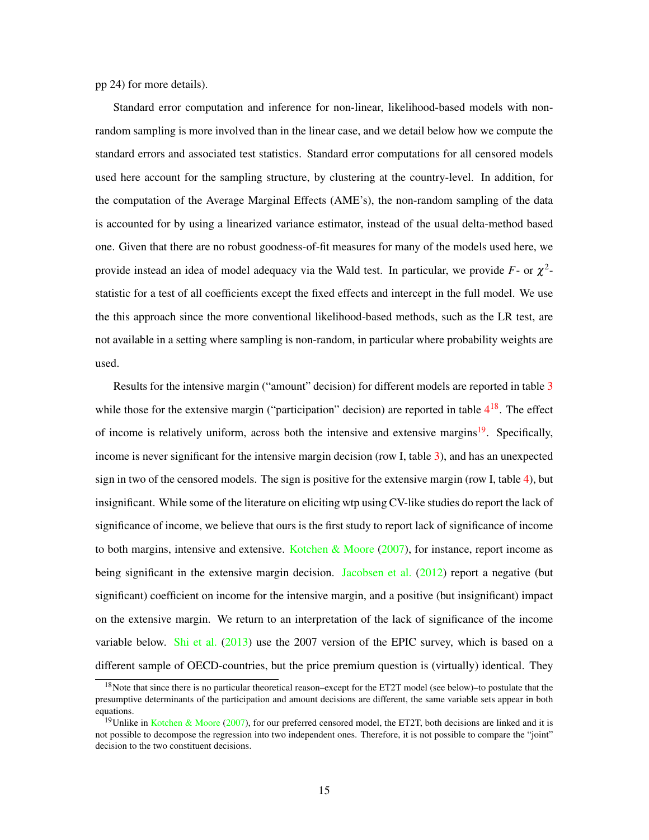pp 24) for more details).

Standard error computation and inference for non-linear, likelihood-based models with nonrandom sampling is more involved than in the linear case, and we detail below how we compute the standard errors and associated test statistics. Standard error computations for all censored models used here account for the sampling structure, by clustering at the country-level. In addition, for the computation of the Average Marginal Effects (AME's), the non-random sampling of the data is accounted for by using a linearized variance estimator, instead of the usual delta-method based one. Given that there are no robust goodness-of-fit measures for many of the models used here, we provide instead an idea of model adequacy via the Wald test. In particular, we provide  $F$ - or  $\chi^2$ statistic for a test of all coefficients except the fixed effects and intercept in the full model. We use the this approach since the more conventional likelihood-based methods, such as the LR test, are not available in a setting where sampling is non-random, in particular where probability weights are used.

Results for the intensive margin ("amount" decision) for different models are reported in table [3](#page-18-0) while those for the extensive margin ("participation" decision) are reported in table  $4^{18}$  $4^{18}$  $4^{18}$  $4^{18}$ . The effect of income is relatively uniform, across both the intensive and extensive margins<sup>[19](#page-15-1)</sup>. Specifically, income is never significant for the intensive margin decision (row I, table [3\)](#page-18-0), and has an unexpected sign in two of the censored models. The sign is positive for the extensive margin (row I, table [4\)](#page-19-0), but insignificant. While some of the literature on eliciting wtp using CV-like studies do report the lack of significance of income, we believe that ours is the first study to report lack of significance of income to both margins, intensive and extensive. [Kotchen & Moore](#page-28-1)  $(2007)$ , for instance, report income as being significant in the extensive margin decision. [Jacobsen et al.](#page-28-8) [\(2012\)](#page-28-8) report a negative (but significant) coefficient on income for the intensive margin, and a positive (but insignificant) impact on the extensive margin. We return to an interpretation of the lack of significance of the income variable below. [Shi et al.](#page-29-0)  $(2013)$  use the 2007 version of the EPIC survey, which is based on a different sample of OECD-countries, but the price premium question is (virtually) identical. They

<span id="page-15-0"></span> $18$ Note that since there is no particular theoretical reason–except for the ET2T model (see below)–to postulate that the presumptive determinants of the participation and amount decisions are different, the same variable sets appear in both equations.

<span id="page-15-1"></span><sup>&</sup>lt;sup>19</sup>Unlike in [Kotchen & Moore](#page-28-1) [\(2007\)](#page-28-1), for our preferred censored model, the ET2T, both decisions are linked and it is not possible to decompose the regression into two independent ones. Therefore, it is not possible to compare the "joint" decision to the two constituent decisions.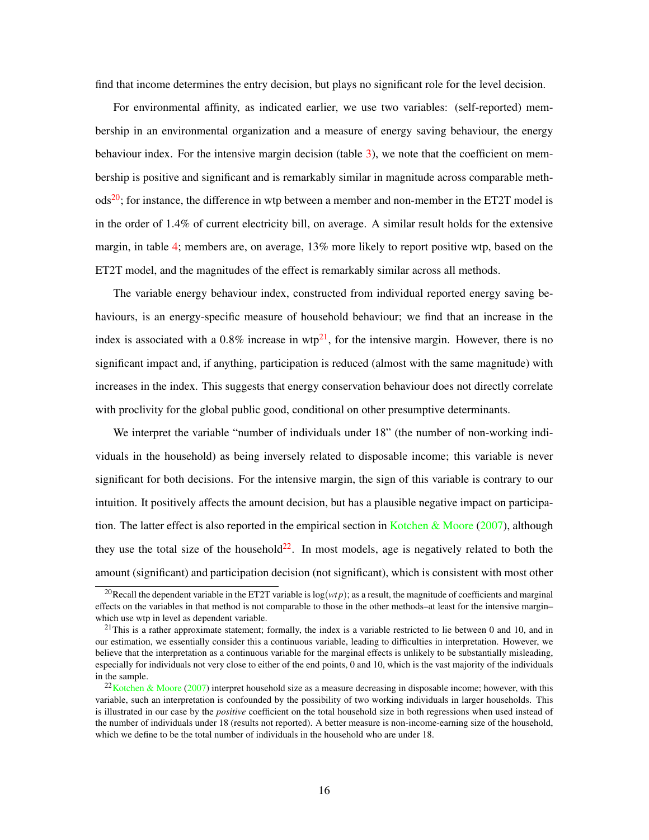find that income determines the entry decision, but plays no significant role for the level decision.

For environmental affinity, as indicated earlier, we use two variables: (self-reported) membership in an environmental organization and a measure of energy saving behaviour, the energy behaviour index. For the intensive margin decision (table [3\)](#page-18-0), we note that the coefficient on membership is positive and significant and is remarkably similar in magnitude across comparable meth- $\text{ods}^{20}$  $\text{ods}^{20}$  $\text{ods}^{20}$ ; for instance, the difference in wtp between a member and non-member in the ET2T model is in the order of 1.4% of current electricity bill, on average. A similar result holds for the extensive margin, in table [4;](#page-19-0) members are, on average, 13% more likely to report positive wtp, based on the ET2T model, and the magnitudes of the effect is remarkably similar across all methods.

The variable energy behaviour index, constructed from individual reported energy saving behaviours, is an energy-specific measure of household behaviour; we find that an increase in the index is associated with a  $0.8\%$  increase in wtp<sup>[21](#page-16-2)</sup>, for the intensive margin. However, there is no significant impact and, if anything, participation is reduced (almost with the same magnitude) with increases in the index. This suggests that energy conservation behaviour does not directly correlate with proclivity for the global public good, conditional on other presumptive determinants.

We interpret the variable "number of individuals under 18" (the number of non-working individuals in the household) as being inversely related to disposable income; this variable is never significant for both decisions. For the intensive margin, the sign of this variable is contrary to our intuition. It positively affects the amount decision, but has a plausible negative impact on participa-tion. The latter effect is also reported in the empirical section in [Kotchen & Moore](#page-28-1) [\(2007\)](#page-28-1), although they use the total size of the household<sup>[22](#page-16-0)</sup>. In most models, age is negatively related to both the amount (significant) and participation decision (not significant), which is consistent with most other

<span id="page-16-1"></span><sup>&</sup>lt;sup>20</sup>Recall the dependent variable in the ET2T variable is  $log(wtp)$ ; as a result, the magnitude of coefficients and marginal effects on the variables in that method is not comparable to those in the other methods–at least for the intensive margin– which use wtp in level as dependent variable.

<span id="page-16-2"></span><sup>&</sup>lt;sup>21</sup>This is a rather approximate statement; formally, the index is a variable restricted to lie between 0 and 10, and in our estimation, we essentially consider this a continuous variable, leading to difficulties in interpretation. However, we believe that the interpretation as a continuous variable for the marginal effects is unlikely to be substantially misleading, especially for individuals not very close to either of the end points, 0 and 10, which is the vast majority of the individuals in the sample.

<span id="page-16-0"></span> $22$ [Kotchen & Moore](#page-28-1) [\(2007\)](#page-28-1) interpret household size as a measure decreasing in disposable income; however, with this variable, such an interpretation is confounded by the possibility of two working individuals in larger households. This is illustrated in our case by the *positive* coefficient on the total household size in both regressions when used instead of the number of individuals under 18 (results not reported). A better measure is non-income-earning size of the household, which we define to be the total number of individuals in the household who are under 18.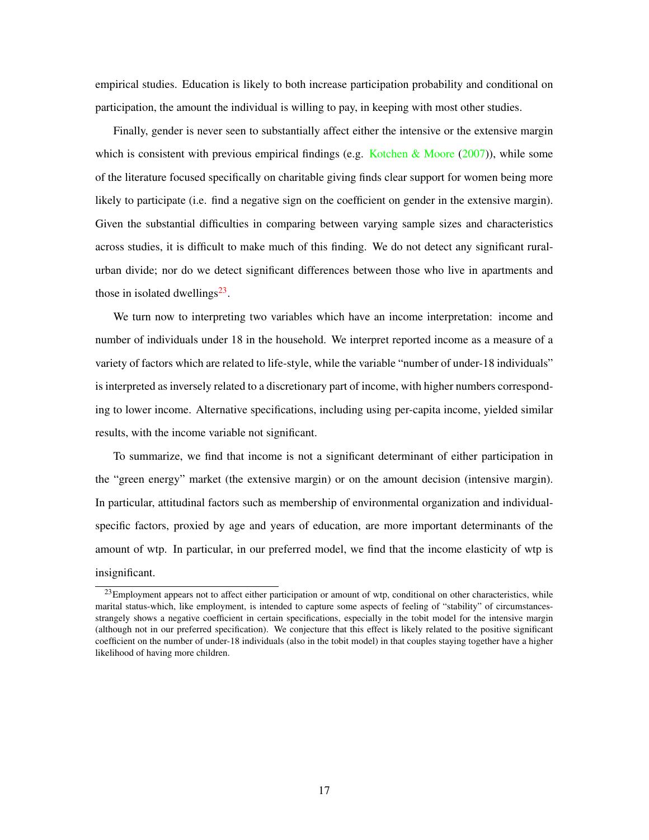empirical studies. Education is likely to both increase participation probability and conditional on participation, the amount the individual is willing to pay, in keeping with most other studies.

Finally, gender is never seen to substantially affect either the intensive or the extensive margin which is consistent with previous empirical findings (e.g. [Kotchen & Moore](#page-28-1)  $(2007)$ ), while some of the literature focused specifically on charitable giving finds clear support for women being more likely to participate (i.e. find a negative sign on the coefficient on gender in the extensive margin). Given the substantial difficulties in comparing between varying sample sizes and characteristics across studies, it is difficult to make much of this finding. We do not detect any significant ruralurban divide; nor do we detect significant differences between those who live in apartments and those in isolated dwellings $^{23}$  $^{23}$  $^{23}$ .

We turn now to interpreting two variables which have an income interpretation: income and number of individuals under 18 in the household. We interpret reported income as a measure of a variety of factors which are related to life-style, while the variable "number of under-18 individuals" is interpreted as inversely related to a discretionary part of income, with higher numbers corresponding to lower income. Alternative specifications, including using per-capita income, yielded similar results, with the income variable not significant.

To summarize, we find that income is not a significant determinant of either participation in the "green energy" market (the extensive margin) or on the amount decision (intensive margin). In particular, attitudinal factors such as membership of environmental organization and individualspecific factors, proxied by age and years of education, are more important determinants of the amount of wtp. In particular, in our preferred model, we find that the income elasticity of wtp is insignificant.

<span id="page-17-0"></span><sup>&</sup>lt;sup>23</sup>Employment appears not to affect either participation or amount of wtp, conditional on other characteristics, while marital status-which, like employment, is intended to capture some aspects of feeling of "stability" of circumstancesstrangely shows a negative coefficient in certain specifications, especially in the tobit model for the intensive margin (although not in our preferred specification). We conjecture that this effect is likely related to the positive significant coefficient on the number of under-18 individuals (also in the tobit model) in that couples staying together have a higher likelihood of having more children.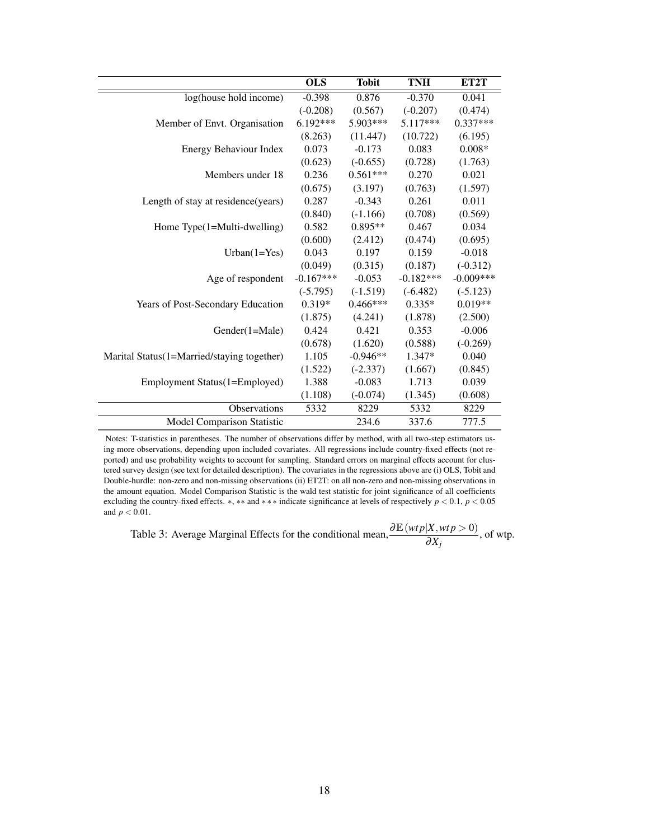<span id="page-18-0"></span>

|                                            | <b>OLS</b>  | <b>Tobit</b> | <b>TNH</b>  | ET2T        |
|--------------------------------------------|-------------|--------------|-------------|-------------|
| log(house hold income)                     | $-0.398$    | 0.876        | $-0.370$    | 0.041       |
|                                            | $(-0.208)$  | (0.567)      | $(-0.207)$  | (0.474)     |
| Member of Envt. Organisation               | $6.192***$  | $5.903***$   | $5.117***$  | $0.337***$  |
|                                            | (8.263)     | (11.447)     | (10.722)    | (6.195)     |
| Energy Behaviour Index                     | 0.073       | $-0.173$     | 0.083       | $0.008*$    |
|                                            | (0.623)     | $(-0.655)$   | (0.728)     | (1.763)     |
| Members under 18                           | 0.236       | $0.561***$   | 0.270       | 0.021       |
|                                            | (0.675)     | (3.197)      | (0.763)     | (1.597)     |
| Length of stay at residence (years)        | 0.287       | $-0.343$     | 0.261       | 0.011       |
|                                            | (0.840)     | $(-1.166)$   | (0.708)     | (0.569)     |
| Home $Type(1=Multi-dwelling)$              | 0.582       | $0.895**$    | 0.467       | 0.034       |
|                                            | (0.600)     | (2.412)      | (0.474)     | (0.695)     |
| $Urban(1 = Yes)$                           | 0.043       | 0.197        | 0.159       | $-0.018$    |
|                                            | (0.049)     | (0.315)      | (0.187)     | $(-0.312)$  |
| Age of respondent                          | $-0.167***$ | $-0.053$     | $-0.182***$ | $-0.009***$ |
|                                            | $(-5.795)$  | $(-1.519)$   | $(-6.482)$  | $(-5.123)$  |
| Years of Post-Secondary Education          | $0.319*$    | $0.466***$   | $0.335*$    | $0.019**$   |
|                                            | (1.875)     | (4.241)      | (1.878)     | (2.500)     |
| Gender(1=Male)                             | 0.424       | 0.421        | 0.353       | $-0.006$    |
|                                            | (0.678)     | (1.620)      | (0.588)     | $(-0.269)$  |
| Marital Status(1=Married/staying together) | 1.105       | $-0.946**$   | 1.347*      | 0.040       |
|                                            | (1.522)     | $(-2.337)$   | (1.667)     | (0.845)     |
| Employment Status(1=Employed)              | 1.388       | $-0.083$     | 1.713       | 0.039       |
|                                            | (1.108)     | $(-0.074)$   | (1.345)     | (0.608)     |
| Observations                               | 5332        | 8229         | 5332        | 8229        |
| Model Comparison Statistic                 |             | 234.6        | 337.6       | 777.5       |

Notes: T-statistics in parentheses. The number of observations differ by method, with all two-step estimators using more observations, depending upon included covariates. All regressions include country-fixed effects (not reported) and use probability weights to account for sampling. Standard errors on marginal effects account for clustered survey design (see text for detailed description). The covariates in the regressions above are (i) OLS, Tobit and Double-hurdle: non-zero and non-missing observations (ii) ET2T: on all non-zero and non-missing observations in the amount equation. Model Comparison Statistic is the wald test statistic for joint significance of all coefficients excluding the country-fixed effects. ∗, ∗∗ and ∗ ∗ ∗ indicate significance at levels of respectively *p* < 0.1, *p* < 0.05 and *p* < 0.01.

Table 3: Average Marginal Effects for the conditional mean,  $\frac{\partial \mathbb{E}(wtp|X, wtp > 0)}{\partial X_j}$ , of wtp.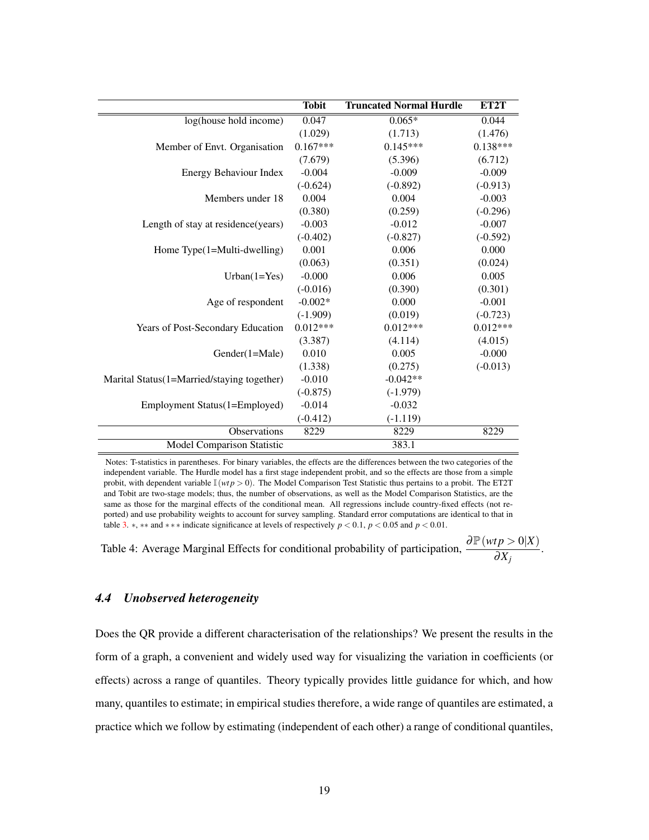<span id="page-19-0"></span>

|                                            | <b>Tobit</b> | <b>Truncated Normal Hurdle</b> | ET2T       |
|--------------------------------------------|--------------|--------------------------------|------------|
| log(house hold income)                     | 0.047        | $0.065*$                       | 0.044      |
|                                            | (1.029)      | (1.713)                        | (1.476)    |
| Member of Envt. Organisation               | $0.167***$   | $0.145***$                     | $0.138***$ |
|                                            | (7.679)      | (5.396)                        | (6.712)    |
| Energy Behaviour Index                     | $-0.004$     | $-0.009$                       | $-0.009$   |
|                                            | $(-0.624)$   | $(-0.892)$                     | $(-0.913)$ |
| Members under 18                           | 0.004        | 0.004                          | $-0.003$   |
|                                            | (0.380)      | (0.259)                        | $(-0.296)$ |
| Length of stay at residence(years)         | $-0.003$     | $-0.012$                       | $-0.007$   |
|                                            | $(-0.402)$   | $(-0.827)$                     | $(-0.592)$ |
| Home $Type(1=Multi-dwelling)$              | 0.001        | 0.006                          | 0.000      |
|                                            | (0.063)      | (0.351)                        | (0.024)    |
| $Urban(1 = Yes)$                           | $-0.000$     | 0.006                          | 0.005      |
|                                            | $(-0.016)$   | (0.390)                        | (0.301)    |
| Age of respondent                          | $-0.002*$    | 0.000                          | $-0.001$   |
|                                            | $(-1.909)$   | (0.019)                        | $(-0.723)$ |
| Years of Post-Secondary Education          | $0.012***$   | $0.012***$                     | $0.012***$ |
|                                            | (3.387)      | (4.114)                        | (4.015)    |
| Gender(1=Male)                             | 0.010        | 0.005                          | $-0.000$   |
|                                            | (1.338)      | (0.275)                        | $(-0.013)$ |
| Marital Status(1=Married/staying together) | $-0.010$     | $-0.042**$                     |            |
|                                            | $(-0.875)$   | $(-1.979)$                     |            |
| Employment Status(1=Employed)              | $-0.014$     | $-0.032$                       |            |
|                                            | $(-0.412)$   | $(-1.119)$                     |            |
| Observations                               | 8229         | 8229                           | 8229       |
| Model Comparison Statistic                 |              | 383.1                          |            |

Notes: T-statistics in parentheses. For binary variables, the effects are the differences between the two categories of the independent variable. The Hurdle model has a first stage independent probit, and so the effects are those from a simple probit, with dependent variable  $\mathbb{I}(wtp > 0)$ . The Model Comparison Test Statistic thus pertains to a probit. The ET2T and Tobit are two-stage models; thus, the number of observations, as well as the Model Comparison Statistics, are the same as those for the marginal effects of the conditional mean. All regressions include country-fixed effects (not reported) and use probability weights to account for survey sampling. Standard error computations are identical to that in table [3.](#page-18-0)  $*$ ,  $**$  and  $***$  indicate significance at levels of respectively  $p < 0.1$ ,  $p < 0.05$  and  $p < 0.01$ .

Table 4: Average Marginal Effects for conditional probability of participation,  $\frac{\partial \mathbb{P}(wtp>0|X)}{\partial x}$  $\frac{\partial P}{\partial X_j}$ .

#### *4.4 Unobserved heterogeneity*

Does the QR provide a different characterisation of the relationships? We present the results in the form of a graph, a convenient and widely used way for visualizing the variation in coefficients (or effects) across a range of quantiles. Theory typically provides little guidance for which, and how many, quantiles to estimate; in empirical studies therefore, a wide range of quantiles are estimated, a practice which we follow by estimating (independent of each other) a range of conditional quantiles,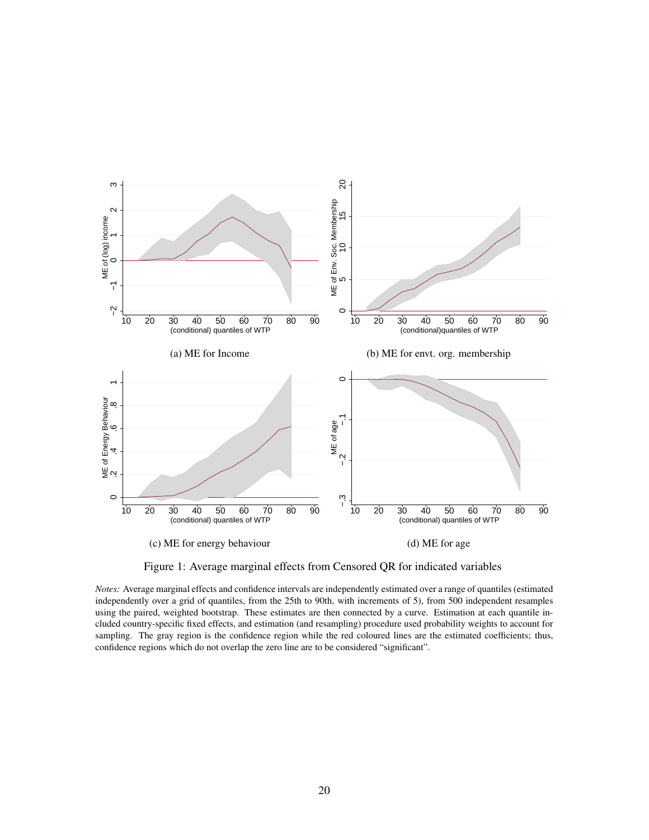<span id="page-20-0"></span>

Figure 1: Average marginal effects from Censored QR for indicated variables

*Notes:* Average marginal effects and confidence intervals are independently estimated over a range of quantiles (estimated independently over a grid of quantiles, from the 25th to 90th, with increments of 5), from 500 independent resamples using the paired, weighted bootstrap. These estimates are then connected by a curve. Estimation at each quantile included country-specific fixed effects, and estimation (and resampling) procedure used probability weights to account for sampling. The gray region is the confidence region while the red coloured lines are the estimated coefficients; thus, confidence regions which do not overlap the zero line are to be considered "significant".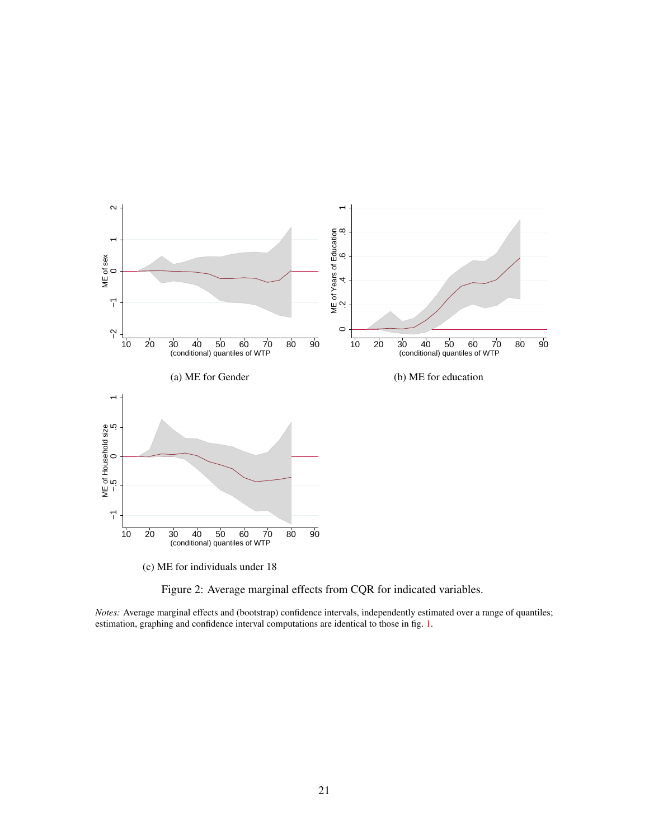

Figure 2: Average marginal effects from CQR for indicated variables.

*Notes:* Average marginal effects and (bootstrap) confidence intervals, independently estimated over a range of quantiles; estimation, graphing and confidence interval computations are identical to those in fig. [1.](#page-20-0)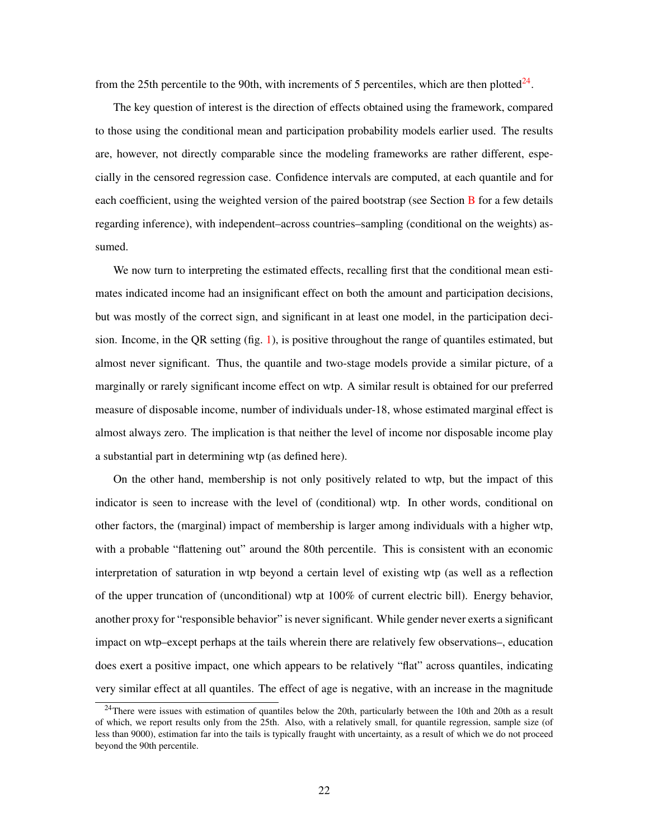from the 25th percentile to the 90th, with increments of 5 percentiles, which are then plotted $24$ .

The key question of interest is the direction of effects obtained using the framework, compared to those using the conditional mean and participation probability models earlier used. The results are, however, not directly comparable since the modeling frameworks are rather different, especially in the censored regression case. Confidence intervals are computed, at each quantile and for each coefficient, using the weighted version of the paired bootstrap (see Section [B](#page-33-0) for a few details regarding inference), with independent–across countries–sampling (conditional on the weights) assumed.

We now turn to interpreting the estimated effects, recalling first that the conditional mean estimates indicated income had an insignificant effect on both the amount and participation decisions, but was mostly of the correct sign, and significant in at least one model, in the participation decision. Income, in the QR setting  $(fig. 1)$  $(fig. 1)$ , is positive throughout the range of quantiles estimated, but almost never significant. Thus, the quantile and two-stage models provide a similar picture, of a marginally or rarely significant income effect on wtp. A similar result is obtained for our preferred measure of disposable income, number of individuals under-18, whose estimated marginal effect is almost always zero. The implication is that neither the level of income nor disposable income play a substantial part in determining wtp (as defined here).

On the other hand, membership is not only positively related to wtp, but the impact of this indicator is seen to increase with the level of (conditional) wtp. In other words, conditional on other factors, the (marginal) impact of membership is larger among individuals with a higher wtp, with a probable "flattening out" around the 80th percentile. This is consistent with an economic interpretation of saturation in wtp beyond a certain level of existing wtp (as well as a reflection of the upper truncation of (unconditional) wtp at 100% of current electric bill). Energy behavior, another proxy for "responsible behavior" is never significant. While gender never exerts a significant impact on wtp–except perhaps at the tails wherein there are relatively few observations–, education does exert a positive impact, one which appears to be relatively "flat" across quantiles, indicating very similar effect at all quantiles. The effect of age is negative, with an increase in the magnitude

<span id="page-22-0"></span><sup>&</sup>lt;sup>24</sup>There were issues with estimation of quantiles below the 20th, particularly between the 10th and 20th as a result of which, we report results only from the 25th. Also, with a relatively small, for quantile regression, sample size (of less than 9000), estimation far into the tails is typically fraught with uncertainty, as a result of which we do not proceed beyond the 90th percentile.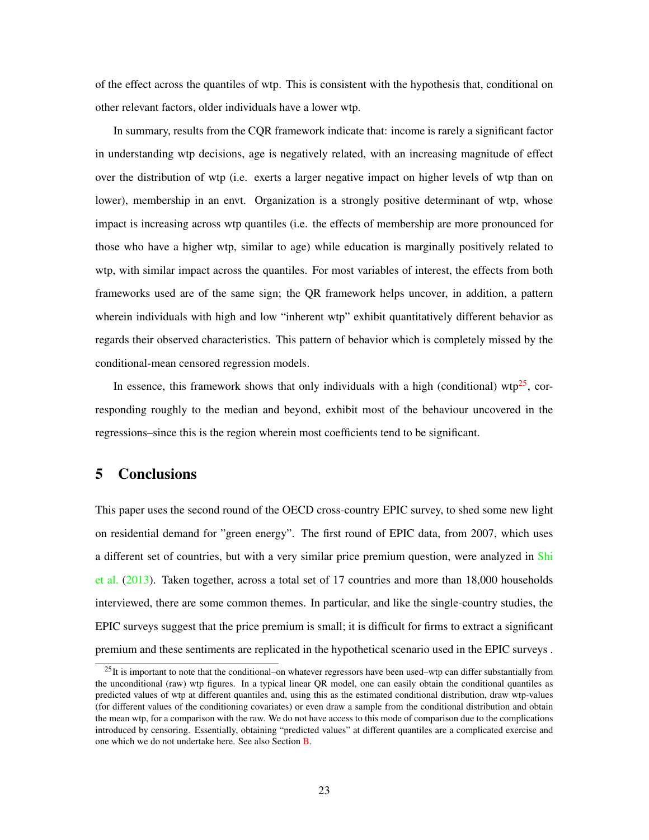of the effect across the quantiles of wtp. This is consistent with the hypothesis that, conditional on other relevant factors, older individuals have a lower wtp.

In summary, results from the CQR framework indicate that: income is rarely a significant factor in understanding wtp decisions, age is negatively related, with an increasing magnitude of effect over the distribution of wtp (i.e. exerts a larger negative impact on higher levels of wtp than on lower), membership in an envt. Organization is a strongly positive determinant of wtp, whose impact is increasing across wtp quantiles (i.e. the effects of membership are more pronounced for those who have a higher wtp, similar to age) while education is marginally positively related to wtp, with similar impact across the quantiles. For most variables of interest, the effects from both frameworks used are of the same sign; the QR framework helps uncover, in addition, a pattern wherein individuals with high and low "inherent wtp" exhibit quantitatively different behavior as regards their observed characteristics. This pattern of behavior which is completely missed by the conditional-mean censored regression models.

In essence, this framework shows that only individuals with a high (conditional) wtp<sup>[25](#page-23-1)</sup>, corresponding roughly to the median and beyond, exhibit most of the behaviour uncovered in the regressions–since this is the region wherein most coefficients tend to be significant.

## <span id="page-23-0"></span>5 Conclusions

This paper uses the second round of the OECD cross-country EPIC survey, to shed some new light on residential demand for "green energy". The first round of EPIC data, from 2007, which uses a different set of countries, but with a very similar price premium question, were analyzed in [Shi](#page-29-0) [et al.](#page-29-0) [\(2013\)](#page-29-0). Taken together, across a total set of 17 countries and more than 18,000 households interviewed, there are some common themes. In particular, and like the single-country studies, the EPIC surveys suggest that the price premium is small; it is difficult for firms to extract a significant premium and these sentiments are replicated in the hypothetical scenario used in the EPIC surveys .

<span id="page-23-1"></span> $^{25}$ It is important to note that the conditional–on whatever regressors have been used–wtp can differ substantially from the unconditional (raw) wtp figures. In a typical linear QR model, one can easily obtain the conditional quantiles as predicted values of wtp at different quantiles and, using this as the estimated conditional distribution, draw wtp-values (for different values of the conditioning covariates) or even draw a sample from the conditional distribution and obtain the mean wtp, for a comparison with the raw. We do not have access to this mode of comparison due to the complications introduced by censoring. Essentially, obtaining "predicted values" at different quantiles are a complicated exercise and one which we do not undertake here. See also Section [B.](#page-33-0)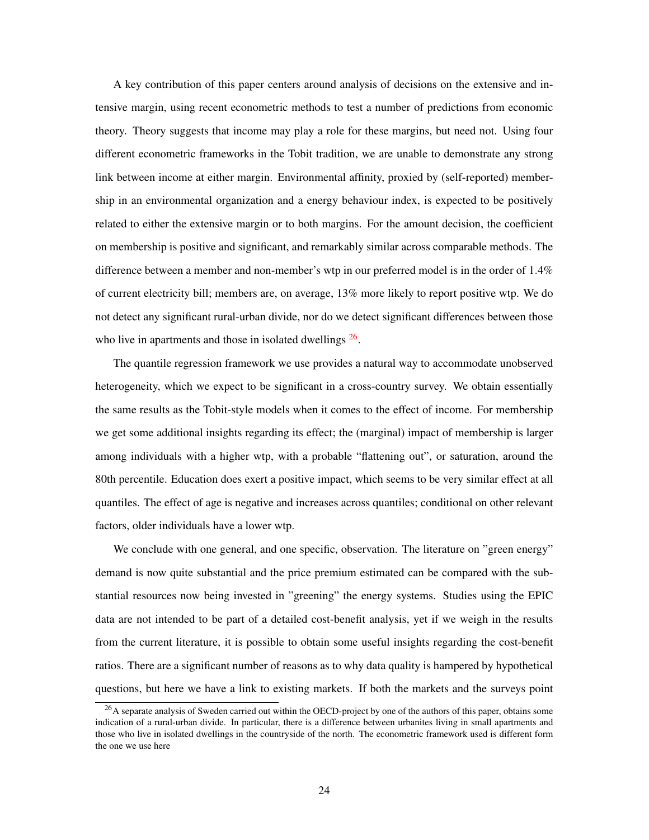A key contribution of this paper centers around analysis of decisions on the extensive and intensive margin, using recent econometric methods to test a number of predictions from economic theory. Theory suggests that income may play a role for these margins, but need not. Using four different econometric frameworks in the Tobit tradition, we are unable to demonstrate any strong link between income at either margin. Environmental affinity, proxied by (self-reported) membership in an environmental organization and a energy behaviour index, is expected to be positively related to either the extensive margin or to both margins. For the amount decision, the coefficient on membership is positive and significant, and remarkably similar across comparable methods. The difference between a member and non-member's wtp in our preferred model is in the order of 1.4% of current electricity bill; members are, on average, 13% more likely to report positive wtp. We do not detect any significant rural-urban divide, nor do we detect significant differences between those who live in apartments and those in isolated dwellings  $26$ .

The quantile regression framework we use provides a natural way to accommodate unobserved heterogeneity, which we expect to be significant in a cross-country survey. We obtain essentially the same results as the Tobit-style models when it comes to the effect of income. For membership we get some additional insights regarding its effect; the (marginal) impact of membership is larger among individuals with a higher wtp, with a probable "flattening out", or saturation, around the 80th percentile. Education does exert a positive impact, which seems to be very similar effect at all quantiles. The effect of age is negative and increases across quantiles; conditional on other relevant factors, older individuals have a lower wtp.

We conclude with one general, and one specific, observation. The literature on "green energy" demand is now quite substantial and the price premium estimated can be compared with the substantial resources now being invested in "greening" the energy systems. Studies using the EPIC data are not intended to be part of a detailed cost-benefit analysis, yet if we weigh in the results from the current literature, it is possible to obtain some useful insights regarding the cost-benefit ratios. There are a significant number of reasons as to why data quality is hampered by hypothetical questions, but here we have a link to existing markets. If both the markets and the surveys point

<span id="page-24-0"></span><sup>&</sup>lt;sup>26</sup>A separate analysis of Sweden carried out within the OECD-project by one of the authors of this paper, obtains some indication of a rural-urban divide. In particular, there is a difference between urbanites living in small apartments and those who live in isolated dwellings in the countryside of the north. The econometric framework used is different form the one we use here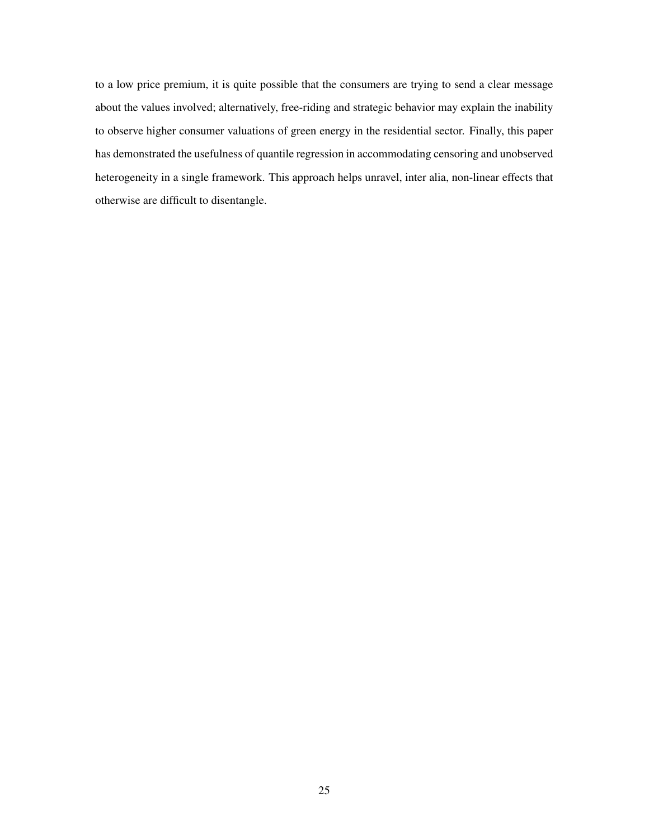to a low price premium, it is quite possible that the consumers are trying to send a clear message about the values involved; alternatively, free-riding and strategic behavior may explain the inability to observe higher consumer valuations of green energy in the residential sector. Finally, this paper has demonstrated the usefulness of quantile regression in accommodating censoring and unobserved heterogeneity in a single framework. This approach helps unravel, inter alia, non-linear effects that otherwise are difficult to disentangle.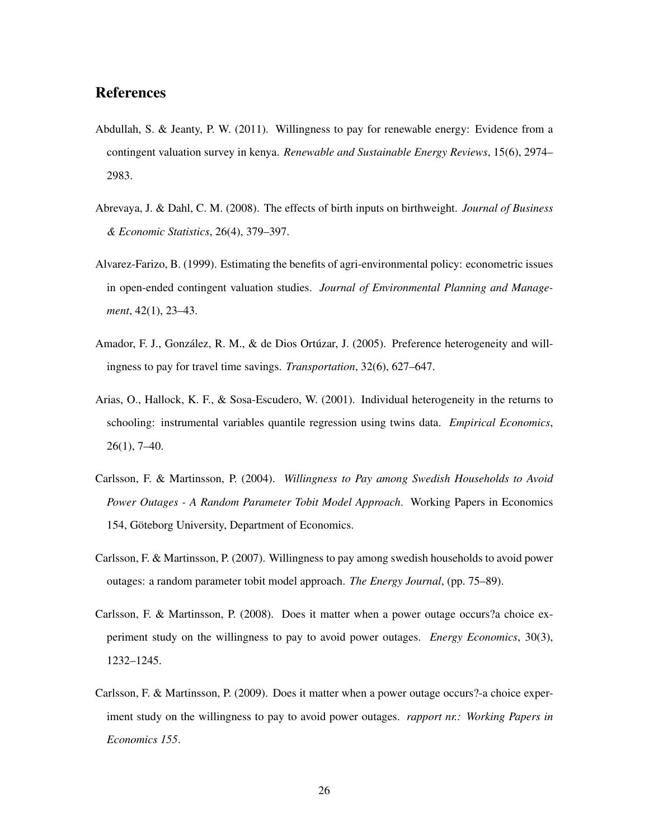#### References

- <span id="page-26-0"></span>Abdullah, S. & Jeanty, P. W. (2011). Willingness to pay for renewable energy: Evidence from a contingent valuation survey in kenya. *Renewable and Sustainable Energy Reviews*, 15(6), 2974– 2983.
- <span id="page-26-7"></span>Abrevaya, J. & Dahl, C. M. (2008). The effects of birth inputs on birthweight. *Journal of Business & Economic Statistics*, 26(4), 379–397.
- <span id="page-26-4"></span>Alvarez-Farizo, B. (1999). Estimating the benefits of agri-environmental policy: econometric issues in open-ended contingent valuation studies. *Journal of Environmental Planning and Management*, 42(1), 23–43.
- <span id="page-26-6"></span>Amador, F. J., González, R. M., & de Dios Ortúzar, J. (2005). Preference heterogeneity and willingness to pay for travel time savings. *Transportation*, 32(6), 627–647.
- <span id="page-26-8"></span>Arias, O., Hallock, K. F., & Sosa-Escudero, W. (2001). Individual heterogeneity in the returns to schooling: instrumental variables quantile regression using twins data. *Empirical Economics*, 26(1), 7–40.
- <span id="page-26-1"></span>Carlsson, F. & Martinsson, P. (2004). *Willingness to Pay among Swedish Households to Avoid Power Outages - A Random Parameter Tobit Model Approach*. Working Papers in Economics 154, Göteborg University, Department of Economics.
- <span id="page-26-3"></span>Carlsson, F. & Martinsson, P. (2007). Willingness to pay among swedish households to avoid power outages: a random parameter tobit model approach. *The Energy Journal*, (pp. 75–89).
- <span id="page-26-5"></span>Carlsson, F. & Martinsson, P. (2008). Does it matter when a power outage occurs?a choice experiment study on the willingness to pay to avoid power outages. *Energy Economics*, 30(3), 1232–1245.
- <span id="page-26-2"></span>Carlsson, F. & Martinsson, P. (2009). Does it matter when a power outage occurs?-a choice experiment study on the willingness to pay to avoid power outages. *rapport nr.: Working Papers in Economics 155*.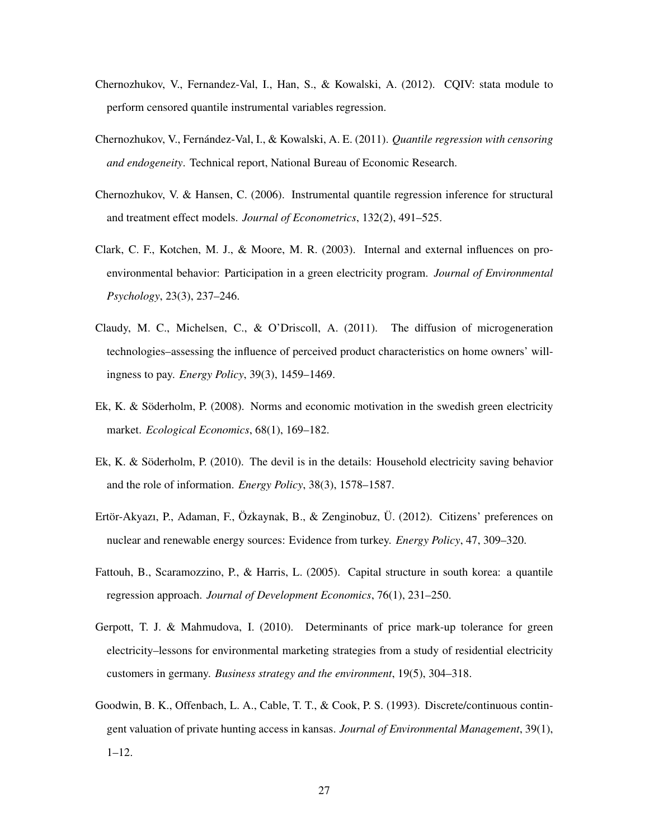- <span id="page-27-8"></span>Chernozhukov, V., Fernandez-Val, I., Han, S., & Kowalski, A. (2012). CQIV: stata module to perform censored quantile instrumental variables regression.
- <span id="page-27-1"></span>Chernozhukov, V., Fernández-Val, I., & Kowalski, A. E. (2011). *Quantile regression with censoring and endogeneity*. Technical report, National Bureau of Economic Research.
- <span id="page-27-9"></span>Chernozhukov, V. & Hansen, C. (2006). Instrumental quantile regression inference for structural and treatment effect models. *Journal of Econometrics*, 132(2), 491–525.
- <span id="page-27-0"></span>Clark, C. F., Kotchen, M. J., & Moore, M. R. (2003). Internal and external influences on proenvironmental behavior: Participation in a green electricity program. *Journal of Environmental Psychology*, 23(3), 237–246.
- <span id="page-27-6"></span>Claudy, M. C., Michelsen, C., & O'Driscoll, A. (2011). The diffusion of microgeneration technologies–assessing the influence of perceived product characteristics on home owners' willingness to pay. *Energy Policy*, 39(3), 1459–1469.
- <span id="page-27-4"></span>Ek, K. & Söderholm, P. (2008). Norms and economic motivation in the swedish green electricity market. *Ecological Economics*, 68(1), 169–182.
- <span id="page-27-5"></span>Ek, K. & Söderholm, P. (2010). The devil is in the details: Household electricity saving behavior and the role of information. *Energy Policy*, 38(3), 1578–1587.
- <span id="page-27-2"></span>Ertör-Akyazı, P., Adaman, F., Özkaynak, B., & Zenginobuz, Ü. (2012). Citizens' preferences on nuclear and renewable energy sources: Evidence from turkey. *Energy Policy*, 47, 309–320.
- <span id="page-27-10"></span>Fattouh, B., Scaramozzino, P., & Harris, L. (2005). Capital structure in south korea: a quantile regression approach. *Journal of Development Economics*, 76(1), 231–250.
- <span id="page-27-3"></span>Gerpott, T. J. & Mahmudova, I. (2010). Determinants of price mark-up tolerance for green electricity–lessons for environmental marketing strategies from a study of residential electricity customers in germany. *Business strategy and the environment*, 19(5), 304–318.
- <span id="page-27-7"></span>Goodwin, B. K., Offenbach, L. A., Cable, T. T., & Cook, P. S. (1993). Discrete/continuous contingent valuation of private hunting access in kansas. *Journal of Environmental Management*, 39(1),  $1 - 12$ .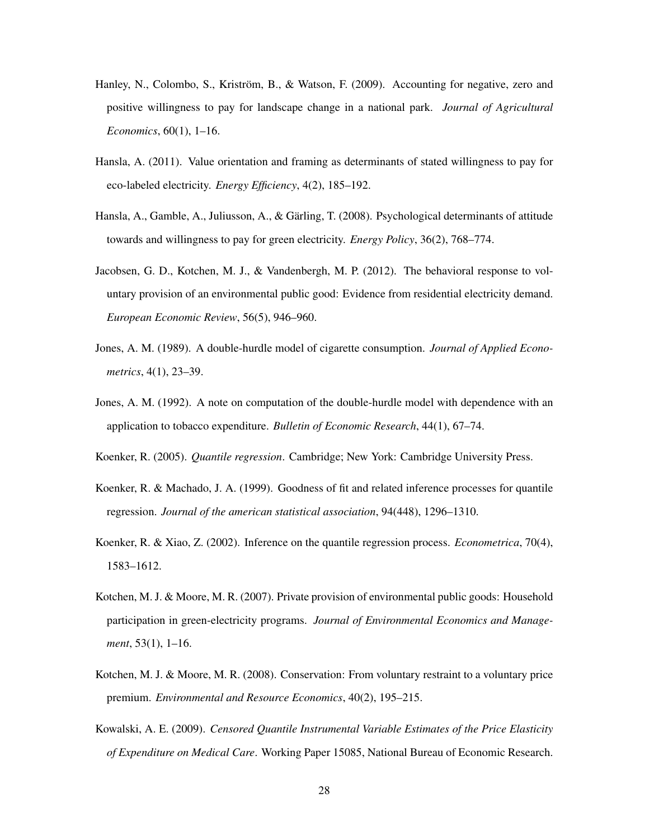- <span id="page-28-5"></span>Hanley, N., Colombo, S., Kriström, B., & Watson, F. (2009). Accounting for negative, zero and positive willingness to pay for landscape change in a national park. *Journal of Agricultural Economics*, 60(1), 1–16.
- <span id="page-28-3"></span>Hansla, A. (2011). Value orientation and framing as determinants of stated willingness to pay for eco-labeled electricity. *Energy Efficiency*, 4(2), 185–192.
- <span id="page-28-0"></span>Hansla, A., Gamble, A., Juliusson, A., & Gärling, T. (2008). Psychological determinants of attitude towards and willingness to pay for green electricity. *Energy Policy*, 36(2), 768–774.
- <span id="page-28-8"></span>Jacobsen, G. D., Kotchen, M. J., & Vandenbergh, M. P. (2012). The behavioral response to voluntary provision of an environmental public good: Evidence from residential electricity demand. *European Economic Review*, 56(5), 946–960.
- <span id="page-28-6"></span>Jones, A. M. (1989). A double-hurdle model of cigarette consumption. *Journal of Applied Econometrics*, 4(1), 23–39.
- <span id="page-28-9"></span>Jones, A. M. (1992). A note on computation of the double-hurdle model with dependence with an application to tobacco expenditure. *Bulletin of Economic Research*, 44(1), 67–74.
- <span id="page-28-2"></span>Koenker, R. (2005). *Quantile regression*. Cambridge; New York: Cambridge University Press.
- <span id="page-28-10"></span>Koenker, R. & Machado, J. A. (1999). Goodness of fit and related inference processes for quantile regression. *Journal of the american statistical association*, 94(448), 1296–1310.
- <span id="page-28-11"></span>Koenker, R. & Xiao, Z. (2002). Inference on the quantile regression process. *Econometrica*, 70(4), 1583–1612.
- <span id="page-28-1"></span>Kotchen, M. J. & Moore, M. R. (2007). Private provision of environmental public goods: Household participation in green-electricity programs. *Journal of Environmental Economics and Management*, 53(1), 1–16.
- <span id="page-28-7"></span>Kotchen, M. J. & Moore, M. R. (2008). Conservation: From voluntary restraint to a voluntary price premium. *Environmental and Resource Economics*, 40(2), 195–215.
- <span id="page-28-4"></span>Kowalski, A. E. (2009). *Censored Quantile Instrumental Variable Estimates of the Price Elasticity of Expenditure on Medical Care*. Working Paper 15085, National Bureau of Economic Research.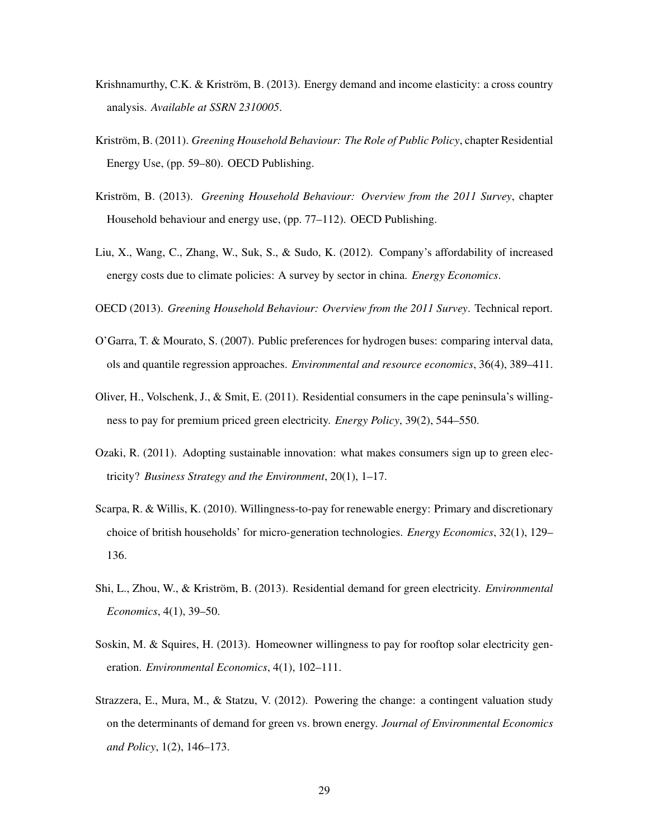- <span id="page-29-9"></span>Krishnamurthy, C.K. & Kriström, B. (2013). Energy demand and income elasticity: a cross country analysis. *Available at SSRN 2310005*.
- <span id="page-29-8"></span>Kriström, B. (2011). *Greening Household Behaviour: The Role of Public Policy*, chapter Residential Energy Use, (pp. 59–80). OECD Publishing.
- <span id="page-29-1"></span>Kriström, B. (2013). *Greening Household Behaviour: Overview from the 2011 Survey*, chapter Household behaviour and energy use, (pp. 77–112). OECD Publishing.
- <span id="page-29-3"></span>Liu, X., Wang, C., Zhang, W., Suk, S., & Sudo, K. (2012). Company's affordability of increased energy costs due to climate policies: A survey by sector in china. *Energy Economics*.
- <span id="page-29-11"></span>OECD (2013). *Greening Household Behaviour: Overview from the 2011 Survey*. Technical report.
- <span id="page-29-10"></span>O'Garra, T. & Mourato, S. (2007). Public preferences for hydrogen buses: comparing interval data, ols and quantile regression approaches. *Environmental and resource economics*, 36(4), 389–411.
- <span id="page-29-2"></span>Oliver, H., Volschenk, J., & Smit, E. (2011). Residential consumers in the cape peninsula's willingness to pay for premium priced green electricity. *Energy Policy*, 39(2), 544–550.
- <span id="page-29-4"></span>Ozaki, R. (2011). Adopting sustainable innovation: what makes consumers sign up to green electricity? *Business Strategy and the Environment*, 20(1), 1–17.
- <span id="page-29-6"></span>Scarpa, R. & Willis, K. (2010). Willingness-to-pay for renewable energy: Primary and discretionary choice of british households' for micro-generation technologies. *Energy Economics*, 32(1), 129– 136.
- <span id="page-29-0"></span>Shi, L., Zhou, W., & Kriström, B. (2013). Residential demand for green electricity. *Environmental Economics*, 4(1), 39–50.
- <span id="page-29-5"></span>Soskin, M. & Squires, H. (2013). Homeowner willingness to pay for rooftop solar electricity generation. *Environmental Economics*, 4(1), 102–111.
- <span id="page-29-7"></span>Strazzera, E., Mura, M., & Statzu, V. (2012). Powering the change: a contingent valuation study on the determinants of demand for green vs. brown energy. *Journal of Environmental Economics and Policy*, 1(2), 146–173.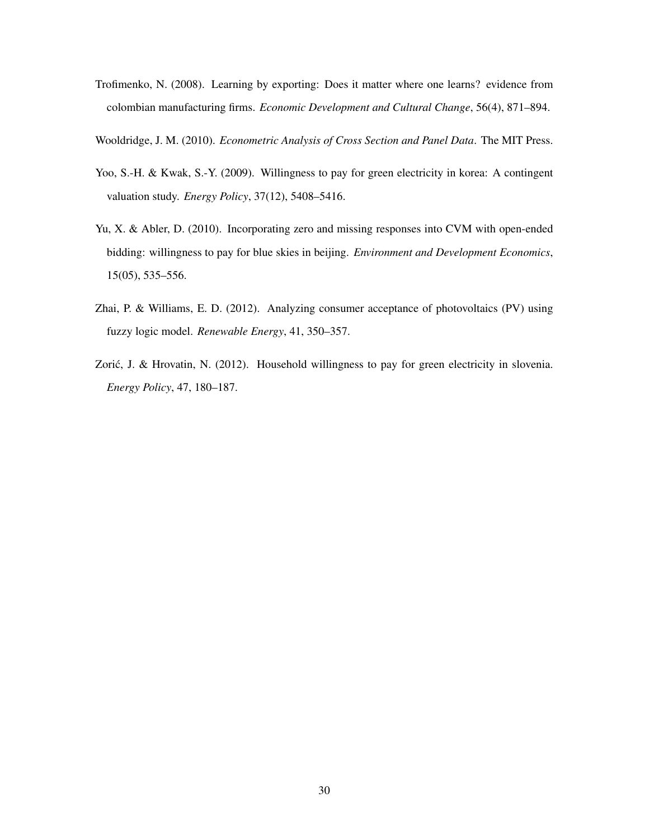- <span id="page-30-5"></span>Trofimenko, N. (2008). Learning by exporting: Does it matter where one learns? evidence from colombian manufacturing firms. *Economic Development and Cultural Change*, 56(4), 871–894.
- <span id="page-30-3"></span>Wooldridge, J. M. (2010). *Econometric Analysis of Cross Section and Panel Data*. The MIT Press.
- <span id="page-30-0"></span>Yoo, S.-H. & Kwak, S.-Y. (2009). Willingness to pay for green electricity in korea: A contingent valuation study. *Energy Policy*, 37(12), 5408–5416.
- <span id="page-30-4"></span>Yu, X. & Abler, D. (2010). Incorporating zero and missing responses into CVM with open-ended bidding: willingness to pay for blue skies in beijing. *Environment and Development Economics*, 15(05), 535–556.
- <span id="page-30-2"></span>Zhai, P. & Williams, E. D. (2012). Analyzing consumer acceptance of photovoltaics (PV) using fuzzy logic model. *Renewable Energy*, 41, 350–357.
- <span id="page-30-1"></span>Zorić, J. & Hrovatin, N. (2012). Household willingness to pay for green electricity in slovenia. *Energy Policy*, 47, 180–187.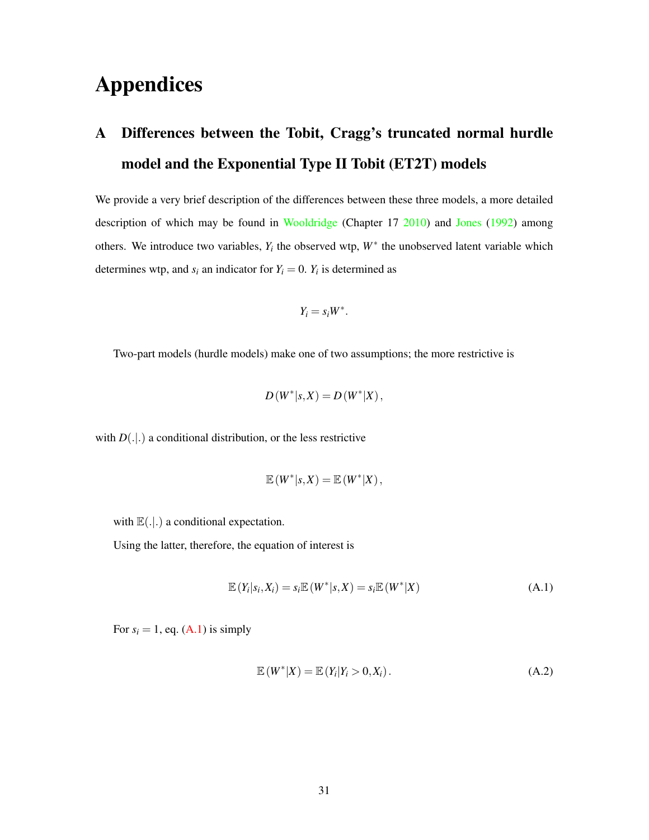## Appendices

## <span id="page-31-0"></span>A Differences between the Tobit, Cragg's truncated normal hurdle model and the Exponential Type II Tobit (ET2T) models

We provide a very brief description of the differences between these three models, a more detailed description of which may be found in [Wooldridge](#page-30-3) (Chapter 17 [2010\)](#page-30-3) and [Jones](#page-28-9) [\(1992\)](#page-28-9) among others. We introduce two variables,  $Y_i$  the observed wtp,  $W^*$  the unobserved latent variable which determines wtp, and  $s_i$  an indicator for  $Y_i = 0$ .  $Y_i$  is determined as

$$
Y_i = s_i W^*.
$$

Two-part models (hurdle models) make one of two assumptions; the more restrictive is

$$
D(W^*|_{S,X}) = D(W^*|X),
$$

with  $D(.|.)$  a conditional distribution, or the less restrictive

$$
\mathbb{E}(W^*|_{S,X})=\mathbb{E}(W^*|X),
$$

with  $\mathbb{E}(.|.)$  a conditional expectation.

Using the latter, therefore, the equation of interest is

<span id="page-31-1"></span>
$$
\mathbb{E}\left(Y_i|S_i,X_i\right) = s_i \mathbb{E}\left(W^*|S,X\right) = s_i \mathbb{E}\left(W^*|X\right) \tag{A.1}
$$

For  $s_i = 1$ , eq. [\(A.1\)](#page-31-1) is simply

$$
\mathbb{E}(W^*|X) = \mathbb{E}(Y_i|Y_i > 0, X_i).
$$
 (A.2)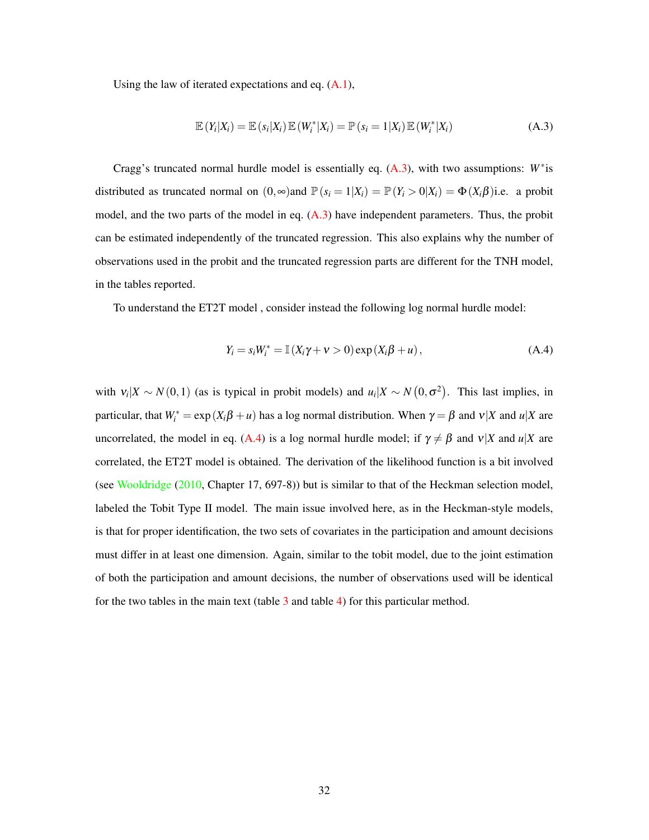Using the law of iterated expectations and eq.  $(A.1)$ ,

<span id="page-32-0"></span>
$$
\mathbb{E}\left(Y_i|X_i\right) = \mathbb{E}\left(s_i|X_i\right)\mathbb{E}\left(W_i^*|X_i\right) = \mathbb{P}\left(s_i = 1|X_i\right)\mathbb{E}\left(W_i^*|X_i\right) \tag{A.3}
$$

Cragg's truncated normal hurdle model is essentially eq. [\(A.3\)](#page-32-0), with two assumptions: *W*<sup>∗</sup> is distributed as truncated normal on  $(0, \infty)$  and  $\mathbb{P}(s_i = 1 | X_i) = \mathbb{P}(Y_i > 0 | X_i) = \Phi(X_i \beta)$  i.e. a probit model, and the two parts of the model in eq. [\(A.3\)](#page-32-0) have independent parameters. Thus, the probit can be estimated independently of the truncated regression. This also explains why the number of observations used in the probit and the truncated regression parts are different for the TNH model, in the tables reported.

To understand the ET2T model , consider instead the following log normal hurdle model:

<span id="page-32-1"></span>
$$
Y_i = s_i W_i^* = \mathbb{I}(X_i \gamma + \nu > 0) \exp(X_i \beta + u), \qquad (A.4)
$$

with  $v_i|X \sim N(0,1)$  (as is typical in probit models) and  $u_i|X \sim N(0,\sigma^2)$ . This last implies, in particular, that  $W_i^* = \exp(X_i \beta + u)$  has a log normal distribution. When  $\gamma = \beta$  and  $v|X$  and  $u|X$  are uncorrelated, the model in eq. [\(A.4\)](#page-32-1) is a log normal hurdle model; if  $\gamma \neq \beta$  and  $v|X$  and  $u|X$  are correlated, the ET2T model is obtained. The derivation of the likelihood function is a bit involved (see [Wooldridge](#page-30-3) [\(2010,](#page-30-3) Chapter 17, 697-8)) but is similar to that of the Heckman selection model, labeled the Tobit Type II model. The main issue involved here, as in the Heckman-style models, is that for proper identification, the two sets of covariates in the participation and amount decisions must differ in at least one dimension. Again, similar to the tobit model, due to the joint estimation of both the participation and amount decisions, the number of observations used will be identical for the two tables in the main text (table  $\overline{3}$  $\overline{3}$  $\overline{3}$  and table  $\overline{4}$ ) for this particular method.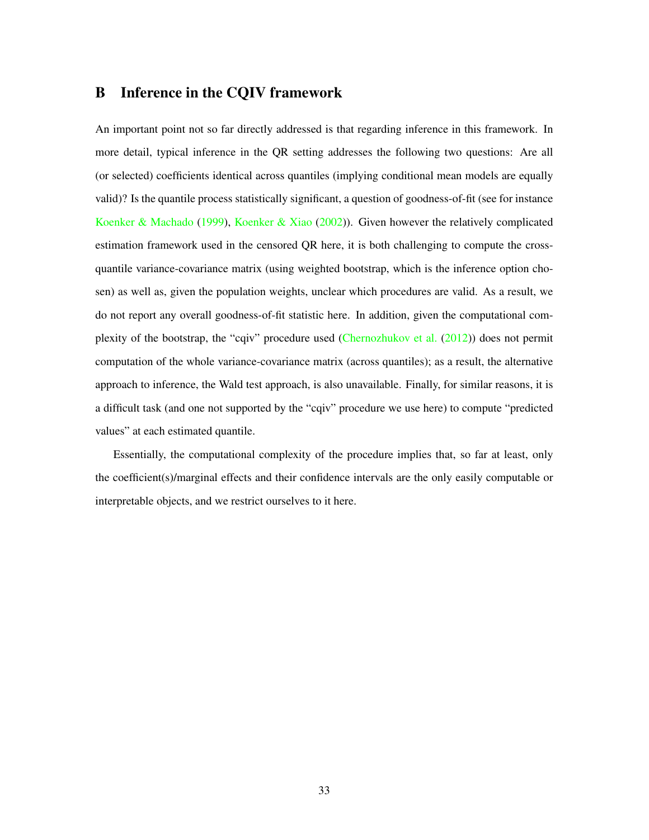### <span id="page-33-0"></span>B Inference in the CQIV framework

An important point not so far directly addressed is that regarding inference in this framework. In more detail, typical inference in the QR setting addresses the following two questions: Are all (or selected) coefficients identical across quantiles (implying conditional mean models are equally valid)? Is the quantile process statistically significant, a question of goodness-of-fit (see for instance [Koenker & Machado](#page-28-10) [\(1999\)](#page-28-10), [Koenker & Xiao](#page-28-11) [\(2002\)](#page-28-11)). Given however the relatively complicated estimation framework used in the censored QR here, it is both challenging to compute the crossquantile variance-covariance matrix (using weighted bootstrap, which is the inference option chosen) as well as, given the population weights, unclear which procedures are valid. As a result, we do not report any overall goodness-of-fit statistic here. In addition, given the computational complexity of the bootstrap, the "cqiv" procedure used [\(Chernozhukov et al.](#page-27-8) [\(2012\)](#page-27-8)) does not permit computation of the whole variance-covariance matrix (across quantiles); as a result, the alternative approach to inference, the Wald test approach, is also unavailable. Finally, for similar reasons, it is a difficult task (and one not supported by the "cqiv" procedure we use here) to compute "predicted values" at each estimated quantile.

Essentially, the computational complexity of the procedure implies that, so far at least, only the coefficient(s)/marginal effects and their confidence intervals are the only easily computable or interpretable objects, and we restrict ourselves to it here.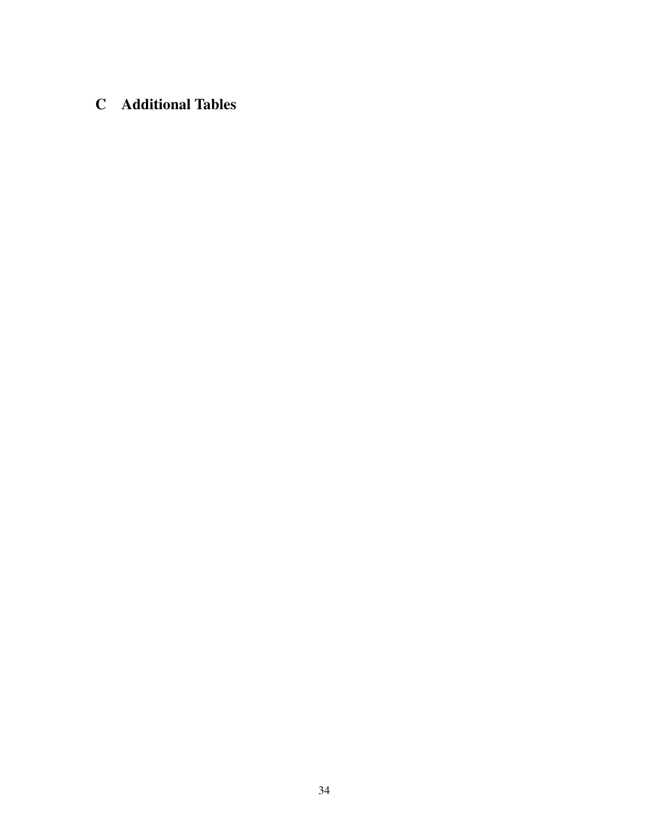## <span id="page-34-0"></span>C Additional Tables